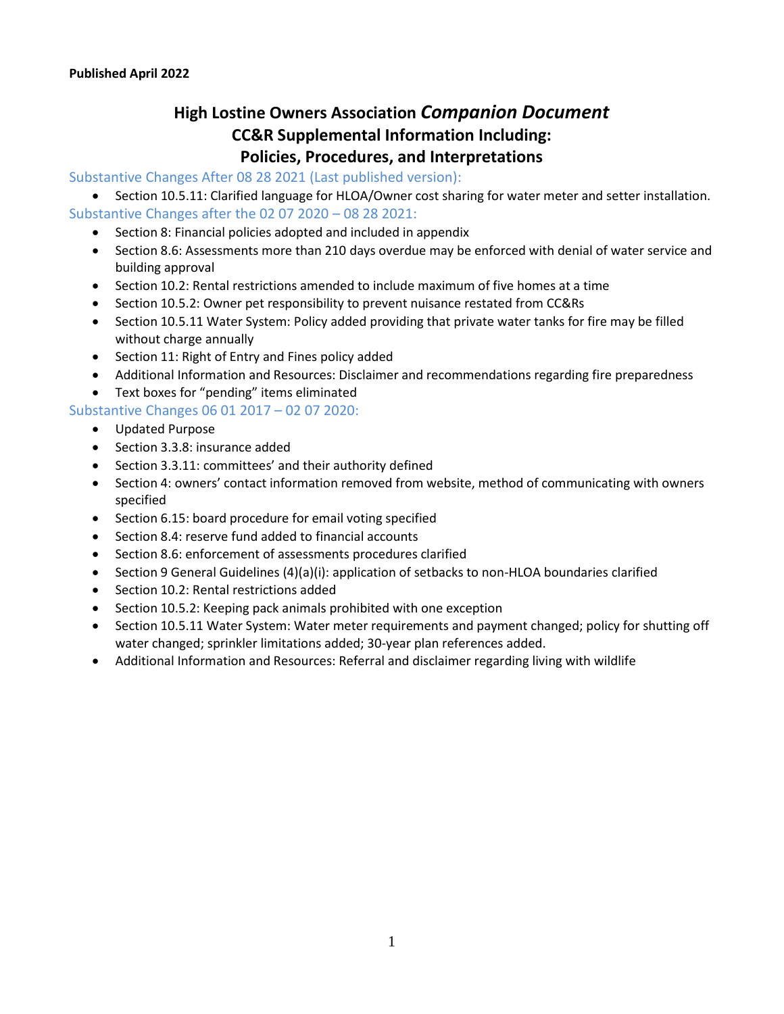## **High Lostine Owners Association** *Companion Document* **CC&R Supplemental Information Including: Policies, Procedures, and Interpretations**

## Substantive Changes After 08 28 2021 (Last published version):

- Section 10.5.11: Clarified language for HLOA/Owner cost sharing for water meter and setter installation. Substantive Changes after the 02 07 2020 – 08 28 2021:
	- Section 8: Financial policies adopted and included in appendix
	- Section 8.6: Assessments more than 210 days overdue may be enforced with denial of water service and building approval
	- Section 10.2: Rental restrictions amended to include maximum of five homes at a time
	- Section 10.5.2: Owner pet responsibility to prevent nuisance restated from CC&Rs
	- Section 10.5.11 Water System: Policy added providing that private water tanks for fire may be filled without charge annually
	- Section 11: Right of Entry and Fines policy added
	- Additional Information and Resources: Disclaimer and recommendations regarding fire preparedness
	- Text boxes for "pending" items eliminated

## Substantive Changes 06 01 2017 – 02 07 2020:

- Updated Purpose
- Section 3.3.8: insurance added
- Section 3.3.11: committees' and their authority defined
- Section 4: owners' contact information removed from website, method of communicating with owners specified
- Section 6.15: board procedure for email voting specified
- Section 8.4: reserve fund added to financial accounts
- Section 8.6: enforcement of assessments procedures clarified
- Section 9 General Guidelines (4)(a)(i): application of setbacks to non-HLOA boundaries clarified
- Section 10.2: Rental restrictions added
- Section 10.5.2: Keeping pack animals prohibited with one exception
- Section 10.5.11 Water System: Water meter requirements and payment changed; policy for shutting off water changed; sprinkler limitations added; 30-year plan references added.
- Additional Information and Resources: Referral and disclaimer regarding living with wildlife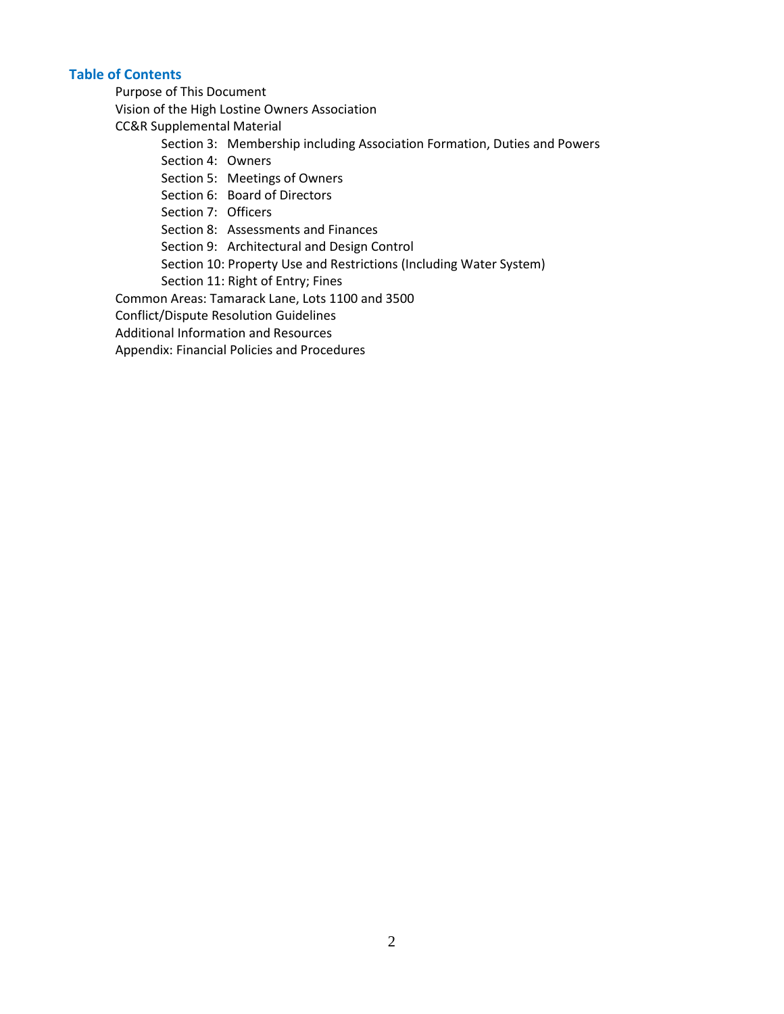## **Table of Contents**

Purpose of This Document

Vision of the High Lostine Owners Association

CC&R Supplemental Material

Section 3: Membership including Association Formation, Duties and Powers

Section 4: Owners

Section 5: Meetings of Owners

Section 6: Board of Directors

Section 7: Officers

Section 8: Assessments and Finances

Section 9: Architectural and Design Control

Section 10: Property Use and Restrictions (Including Water System)

Section 11: Right of Entry; Fines

Common Areas: Tamarack Lane, Lots 1100 and 3500

Conflict/Dispute Resolution Guidelines

Additional Information and Resources

Appendix: Financial Policies and Procedures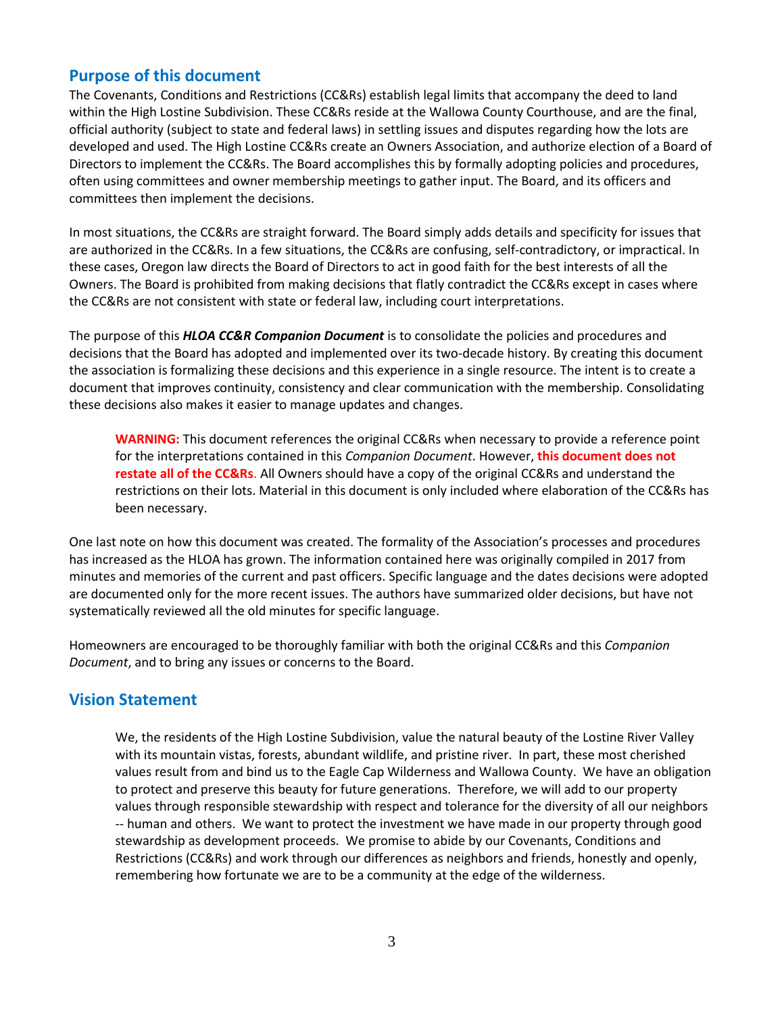## **Purpose of this document**

The Covenants, Conditions and Restrictions (CC&Rs) establish legal limits that accompany the deed to land within the High Lostine Subdivision. These CC&Rs reside at the Wallowa County Courthouse, and are the final, official authority (subject to state and federal laws) in settling issues and disputes regarding how the lots are developed and used. The High Lostine CC&Rs create an Owners Association, and authorize election of a Board of Directors to implement the CC&Rs. The Board accomplishes this by formally adopting policies and procedures, often using committees and owner membership meetings to gather input. The Board, and its officers and committees then implement the decisions.

In most situations, the CC&Rs are straight forward. The Board simply adds details and specificity for issues that are authorized in the CC&Rs. In a few situations, the CC&Rs are confusing, self-contradictory, or impractical. In these cases, Oregon law directs the Board of Directors to act in good faith for the best interests of all the Owners. The Board is prohibited from making decisions that flatly contradict the CC&Rs except in cases where the CC&Rs are not consistent with state or federal law, including court interpretations.

The purpose of this *HLOA CC&R Companion Document* is to consolidate the policies and procedures and decisions that the Board has adopted and implemented over its two-decade history. By creating this document the association is formalizing these decisions and this experience in a single resource. The intent is to create a document that improves continuity, consistency and clear communication with the membership. Consolidating these decisions also makes it easier to manage updates and changes.

**WARNING:** This document references the original CC&Rs when necessary to provide a reference point for the interpretations contained in this *Companion Document*. However, **this document does not restate all of the CC&Rs**. All Owners should have a copy of the original CC&Rs and understand the restrictions on their lots. Material in this document is only included where elaboration of the CC&Rs has been necessary.

One last note on how this document was created. The formality of the Association's processes and procedures has increased as the HLOA has grown. The information contained here was originally compiled in 2017 from minutes and memories of the current and past officers. Specific language and the dates decisions were adopted are documented only for the more recent issues. The authors have summarized older decisions, but have not systematically reviewed all the old minutes for specific language.

Homeowners are encouraged to be thoroughly familiar with both the original CC&Rs and this *Companion Document*, and to bring any issues or concerns to the Board.

## **Vision Statement**

We, the residents of the High Lostine Subdivision, value the natural beauty of the Lostine River Valley with its mountain vistas, forests, abundant wildlife, and pristine river. In part, these most cherished values result from and bind us to the Eagle Cap Wilderness and Wallowa County. We have an obligation to protect and preserve this beauty for future generations. Therefore, we will add to our property values through responsible stewardship with respect and tolerance for the diversity of all our neighbors -- human and others. We want to protect the investment we have made in our property through good stewardship as development proceeds. We promise to abide by our Covenants, Conditions and Restrictions (CC&Rs) and work through our differences as neighbors and friends, honestly and openly, remembering how fortunate we are to be a community at the edge of the wilderness.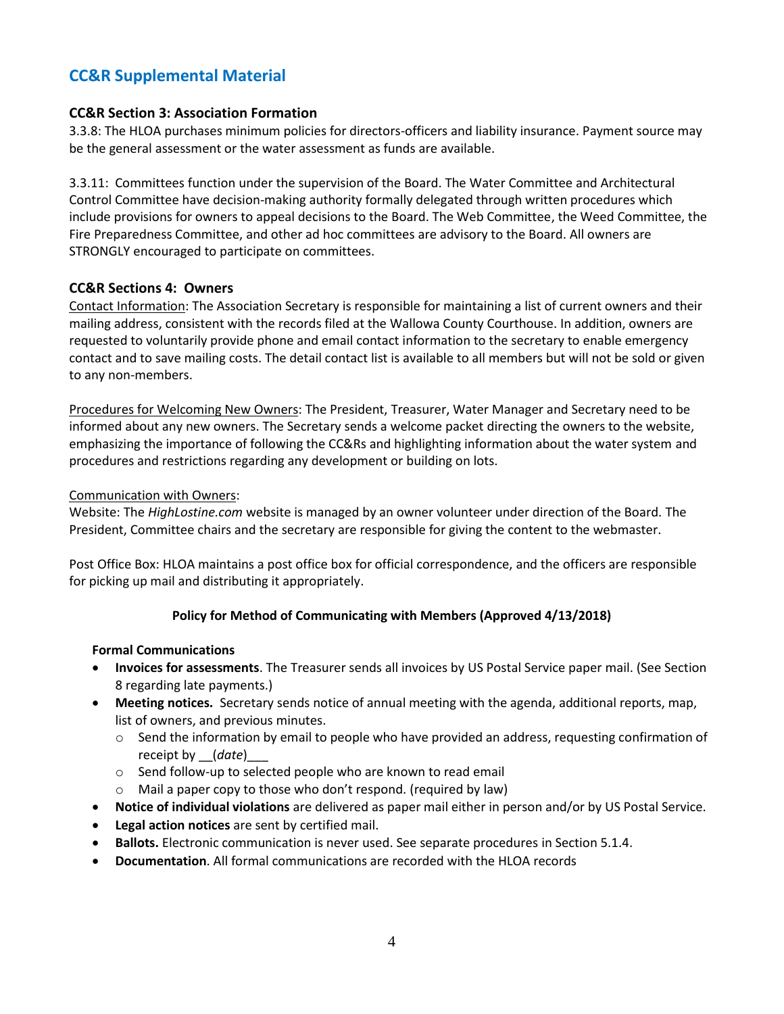## **CC&R Supplemental Material**

## **CC&R Section 3: Association Formation**

3.3.8: The HLOA purchases minimum policies for directors-officers and liability insurance. Payment source may be the general assessment or the water assessment as funds are available.

3.3.11: Committees function under the supervision of the Board. The Water Committee and Architectural Control Committee have decision-making authority formally delegated through written procedures which include provisions for owners to appeal decisions to the Board. The Web Committee, the Weed Committee, the Fire Preparedness Committee, and other ad hoc committees are advisory to the Board. All owners are STRONGLY encouraged to participate on committees.

## **CC&R Sections 4: Owners**

Contact Information: The Association Secretary is responsible for maintaining a list of current owners and their mailing address, consistent with the records filed at the Wallowa County Courthouse. In addition, owners are requested to voluntarily provide phone and email contact information to the secretary to enable emergency contact and to save mailing costs. The detail contact list is available to all members but will not be sold or given to any non-members.

Procedures for Welcoming New Owners: The President, Treasurer, Water Manager and Secretary need to be informed about any new owners. The Secretary sends a welcome packet directing the owners to the website, emphasizing the importance of following the CC&Rs and highlighting information about the water system and procedures and restrictions regarding any development or building on lots.

## Communication with Owners:

Website: The *HighLostine.com* website is managed by an owner volunteer under direction of the Board. The President, Committee chairs and the secretary are responsible for giving the content to the webmaster.

Post Office Box: HLOA maintains a post office box for official correspondence, and the officers are responsible for picking up mail and distributing it appropriately.

## **Policy for Method of Communicating with Members (Approved 4/13/2018)**

## **Formal Communications**

- **Invoices for assessments**. The Treasurer sends all invoices by US Postal Service paper mail. (See Section 8 regarding late payments.)
- **Meeting notices.** Secretary sends notice of annual meeting with the agenda, additional reports, map, list of owners, and previous minutes.
	- o Send the information by email to people who have provided an address, requesting confirmation of receipt by \_\_(*date*)\_\_\_
	- o Send follow-up to selected people who are known to read email
	- o Mail a paper copy to those who don't respond. (required by law)
- **Notice of individual violations** are delivered as paper mail either in person and/or by US Postal Service.
- **Legal action notices** are sent by certified mail.
- **Ballots.** Electronic communication is never used. See separate procedures in Section 5.1.4.
- **Documentation**. All formal communications are recorded with the HLOA records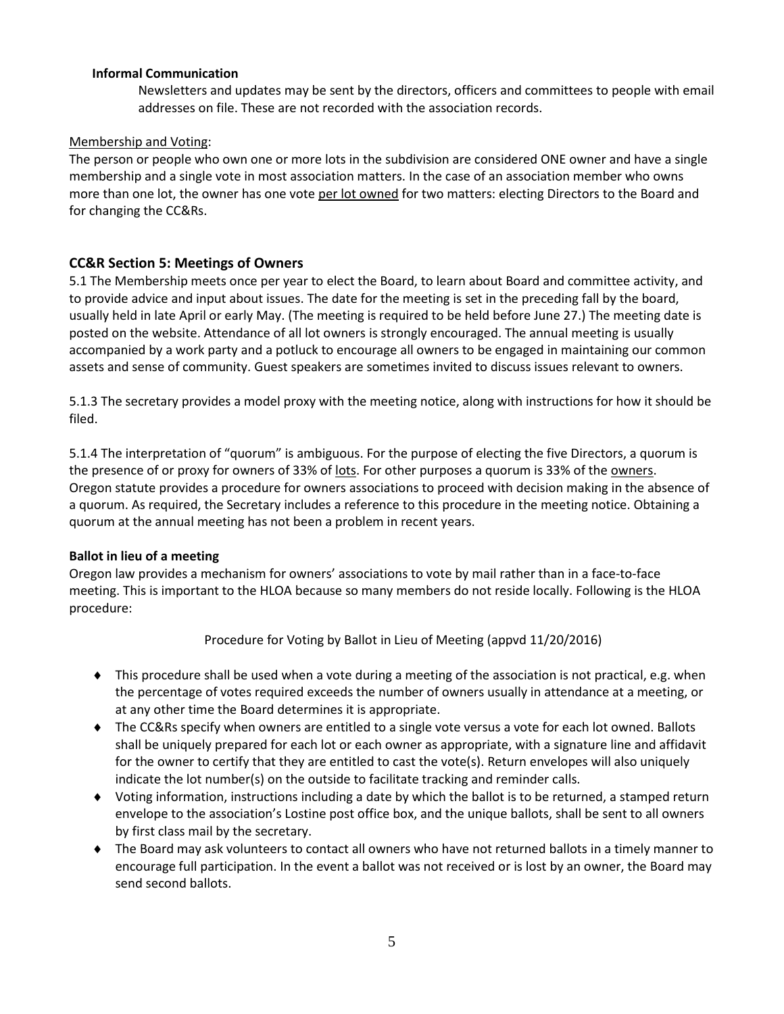## **Informal Communication**

Newsletters and updates may be sent by the directors, officers and committees to people with email addresses on file. These are not recorded with the association records.

## Membership and Voting:

The person or people who own one or more lots in the subdivision are considered ONE owner and have a single membership and a single vote in most association matters. In the case of an association member who owns more than one lot, the owner has one vote per lot owned for two matters: electing Directors to the Board and for changing the CC&Rs.

## **CC&R Section 5: Meetings of Owners**

5.1 The Membership meets once per year to elect the Board, to learn about Board and committee activity, and to provide advice and input about issues. The date for the meeting is set in the preceding fall by the board, usually held in late April or early May. (The meeting is required to be held before June 27.) The meeting date is posted on the website. Attendance of all lot owners is strongly encouraged. The annual meeting is usually accompanied by a work party and a potluck to encourage all owners to be engaged in maintaining our common assets and sense of community. Guest speakers are sometimes invited to discuss issues relevant to owners.

5.1.3 The secretary provides a model proxy with the meeting notice, along with instructions for how it should be filed.

5.1.4 The interpretation of "quorum" is ambiguous. For the purpose of electing the five Directors, a quorum is the presence of or proxy for owners of 33% of lots. For other purposes a quorum is 33% of the owners. Oregon statute provides a procedure for owners associations to proceed with decision making in the absence of a quorum. As required, the Secretary includes a reference to this procedure in the meeting notice. Obtaining a quorum at the annual meeting has not been a problem in recent years.

## **Ballot in lieu of a meeting**

Oregon law provides a mechanism for owners' associations to vote by mail rather than in a face-to-face meeting. This is important to the HLOA because so many members do not reside locally. Following is the HLOA procedure:

Procedure for Voting by Ballot in Lieu of Meeting (appvd 11/20/2016)

- This procedure shall be used when a vote during a meeting of the association is not practical, e.g. when the percentage of votes required exceeds the number of owners usually in attendance at a meeting, or at any other time the Board determines it is appropriate.
- ◆ The CC&Rs specify when owners are entitled to a single vote versus a vote for each lot owned. Ballots shall be uniquely prepared for each lot or each owner as appropriate, with a signature line and affidavit for the owner to certify that they are entitled to cast the vote(s). Return envelopes will also uniquely indicate the lot number(s) on the outside to facilitate tracking and reminder calls.
- Voting information, instructions including a date by which the ballot is to be returned, a stamped return envelope to the association's Lostine post office box, and the unique ballots, shall be sent to all owners by first class mail by the secretary.
- The Board may ask volunteers to contact all owners who have not returned ballots in a timely manner to encourage full participation. In the event a ballot was not received or is lost by an owner, the Board may send second ballots.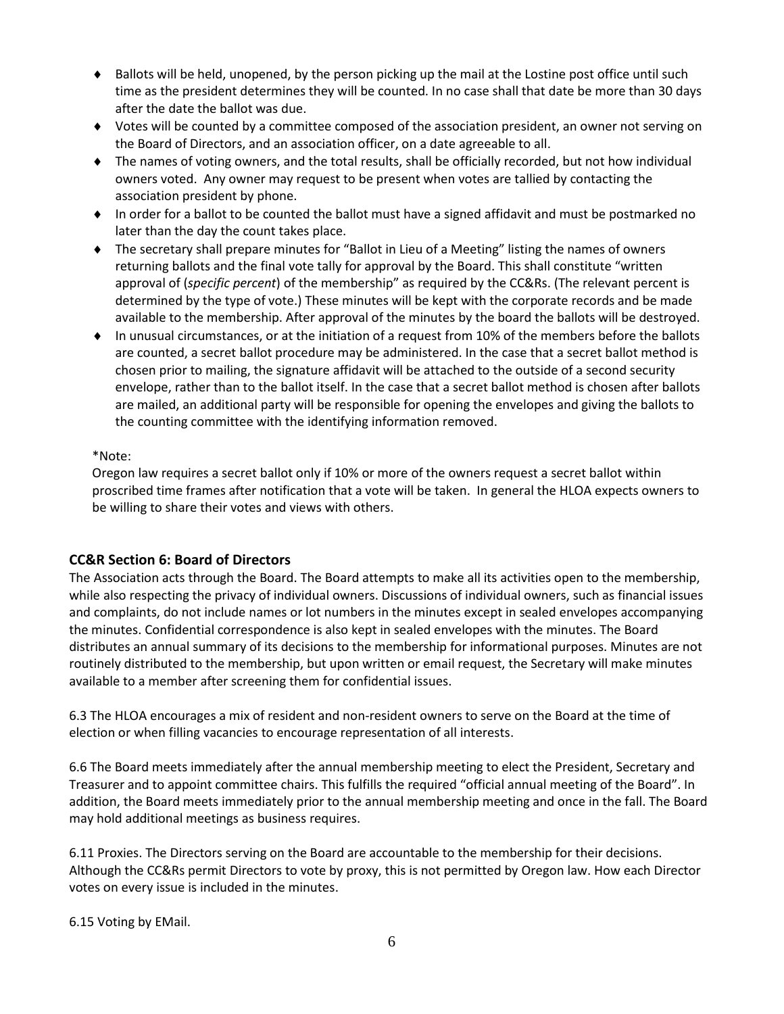- $\bullet$  Ballots will be held, unopened, by the person picking up the mail at the Lostine post office until such time as the president determines they will be counted. In no case shall that date be more than 30 days after the date the ballot was due.
- Votes will be counted by a committee composed of the association president, an owner not serving on the Board of Directors, and an association officer, on a date agreeable to all.
- The names of voting owners, and the total results, shall be officially recorded, but not how individual owners voted. Any owner may request to be present when votes are tallied by contacting the association president by phone.
- In order for a ballot to be counted the ballot must have a signed affidavit and must be postmarked no later than the day the count takes place.
- The secretary shall prepare minutes for "Ballot in Lieu of a Meeting" listing the names of owners returning ballots and the final vote tally for approval by the Board. This shall constitute "written approval of (*specific percent*) of the membership" as required by the CC&Rs. (The relevant percent is determined by the type of vote.) These minutes will be kept with the corporate records and be made available to the membership. After approval of the minutes by the board the ballots will be destroyed.
- In unusual circumstances, or at the initiation of a request from 10% of the members before the ballots are counted, a secret ballot procedure may be administered. In the case that a secret ballot method is chosen prior to mailing, the signature affidavit will be attached to the outside of a second security envelope, rather than to the ballot itself. In the case that a secret ballot method is chosen after ballots are mailed, an additional party will be responsible for opening the envelopes and giving the ballots to the counting committee with the identifying information removed.

## \*Note:

Oregon law requires a secret ballot only if 10% or more of the owners request a secret ballot within proscribed time frames after notification that a vote will be taken. In general the HLOA expects owners to be willing to share their votes and views with others.

## **CC&R Section 6: Board of Directors**

The Association acts through the Board. The Board attempts to make all its activities open to the membership, while also respecting the privacy of individual owners. Discussions of individual owners, such as financial issues and complaints, do not include names or lot numbers in the minutes except in sealed envelopes accompanying the minutes. Confidential correspondence is also kept in sealed envelopes with the minutes. The Board distributes an annual summary of its decisions to the membership for informational purposes. Minutes are not routinely distributed to the membership, but upon written or email request, the Secretary will make minutes available to a member after screening them for confidential issues.

6.3 The HLOA encourages a mix of resident and non-resident owners to serve on the Board at the time of election or when filling vacancies to encourage representation of all interests.

6.6 The Board meets immediately after the annual membership meeting to elect the President, Secretary and Treasurer and to appoint committee chairs. This fulfills the required "official annual meeting of the Board". In addition, the Board meets immediately prior to the annual membership meeting and once in the fall. The Board may hold additional meetings as business requires.

6.11 Proxies. The Directors serving on the Board are accountable to the membership for their decisions. Although the CC&Rs permit Directors to vote by proxy, this is not permitted by Oregon law. How each Director votes on every issue is included in the minutes.

6.15 Voting by EMail.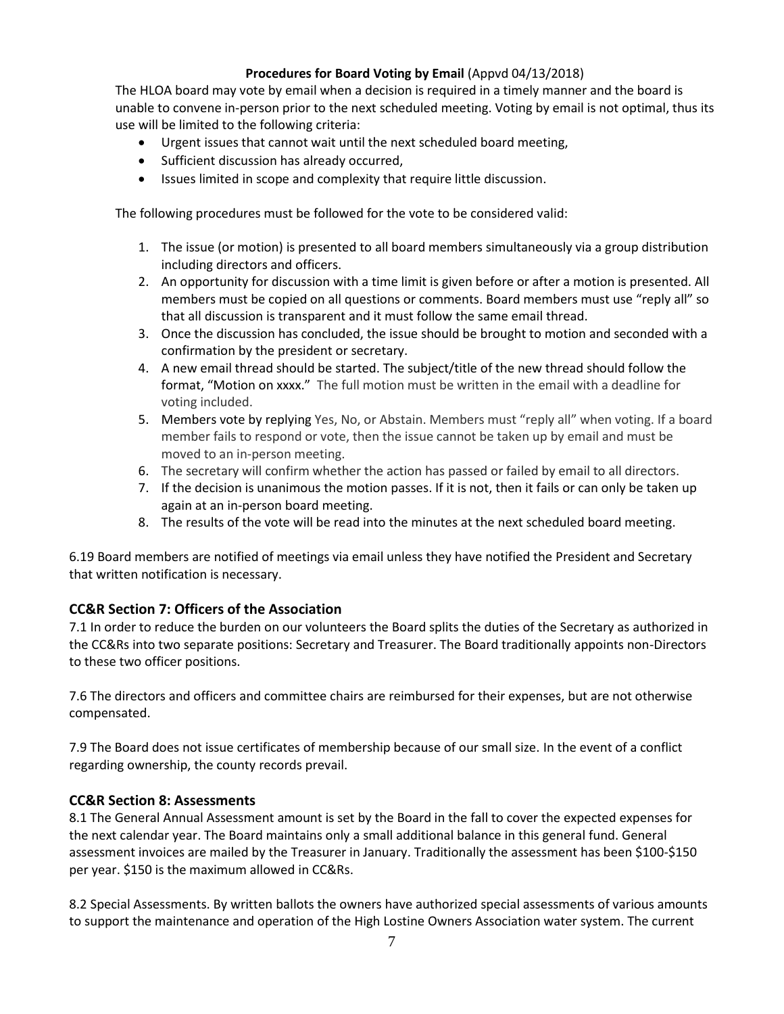## **Procedures for Board Voting by Email** (Appvd 04/13/2018)

The HLOA board may vote by email when a decision is required in a timely manner and the board is unable to convene in-person prior to the next scheduled meeting. Voting by email is not optimal, thus its use will be limited to the following criteria:

- Urgent issues that cannot wait until the next scheduled board meeting,
- Sufficient discussion has already occurred,
- Issues limited in scope and complexity that require little discussion.

The following procedures must be followed for the vote to be considered valid:

- 1. The issue (or motion) is presented to all board members simultaneously via a group distribution including directors and officers.
- 2. An opportunity for discussion with a time limit is given before or after a motion is presented. All members must be copied on all questions or comments. Board members must use "reply all" so that all discussion is transparent and it must follow the same email thread.
- 3. Once the discussion has concluded, the issue should be brought to motion and seconded with a confirmation by the president or secretary.
- 4. A new email thread should be started. The subject/title of the new thread should follow the format, "Motion on xxxx." The full motion must be written in the email with a deadline for voting included.
- 5. Members vote by replying Yes, No, or Abstain. Members must "reply all" when voting. If a board member fails to respond or vote, then the issue cannot be taken up by email and must be moved to an in-person meeting.
- 6. The secretary will confirm whether the action has passed or failed by email to all directors.
- 7. If the decision is unanimous the motion passes. If it is not, then it fails or can only be taken up again at an in-person board meeting.
- 8. The results of the vote will be read into the minutes at the next scheduled board meeting.

6.19 Board members are notified of meetings via email unless they have notified the President and Secretary that written notification is necessary.

## **CC&R Section 7: Officers of the Association**

7.1 In order to reduce the burden on our volunteers the Board splits the duties of the Secretary as authorized in the CC&Rs into two separate positions: Secretary and Treasurer. The Board traditionally appoints non-Directors to these two officer positions.

7.6 The directors and officers and committee chairs are reimbursed for their expenses, but are not otherwise compensated.

7.9 The Board does not issue certificates of membership because of our small size. In the event of a conflict regarding ownership, the county records prevail.

## **CC&R Section 8: Assessments**

8.1 The General Annual Assessment amount is set by the Board in the fall to cover the expected expenses for the next calendar year. The Board maintains only a small additional balance in this general fund. General assessment invoices are mailed by the Treasurer in January. Traditionally the assessment has been \$100-\$150 per year. \$150 is the maximum allowed in CC&Rs.

8.2 Special Assessments. By written ballots the owners have authorized special assessments of various amounts to support the maintenance and operation of the High Lostine Owners Association water system. The current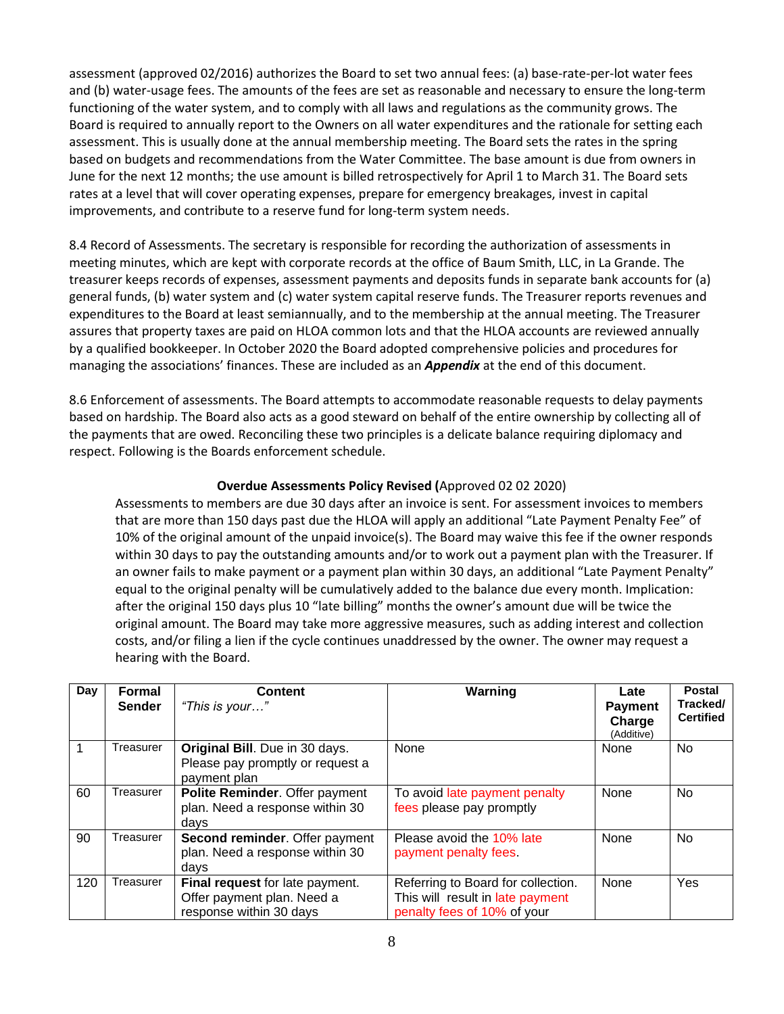assessment (approved 02/2016) authorizes the Board to set two annual fees: (a) base-rate-per-lot water fees and (b) water-usage fees. The amounts of the fees are set as reasonable and necessary to ensure the long-term functioning of the water system, and to comply with all laws and regulations as the community grows. The Board is required to annually report to the Owners on all water expenditures and the rationale for setting each assessment. This is usually done at the annual membership meeting. The Board sets the rates in the spring based on budgets and recommendations from the Water Committee. The base amount is due from owners in June for the next 12 months; the use amount is billed retrospectively for April 1 to March 31. The Board sets rates at a level that will cover operating expenses, prepare for emergency breakages, invest in capital improvements, and contribute to a reserve fund for long-term system needs.

8.4 Record of Assessments. The secretary is responsible for recording the authorization of assessments in meeting minutes, which are kept with corporate records at the office of Baum Smith, LLC, in La Grande. The treasurer keeps records of expenses, assessment payments and deposits funds in separate bank accounts for (a) general funds, (b) water system and (c) water system capital reserve funds. The Treasurer reports revenues and expenditures to the Board at least semiannually, and to the membership at the annual meeting. The Treasurer assures that property taxes are paid on HLOA common lots and that the HLOA accounts are reviewed annually by a qualified bookkeeper. In October 2020 the Board adopted comprehensive policies and procedures for managing the associations' finances. These are included as an *Appendix* at the end of this document.

8.6 Enforcement of assessments. The Board attempts to accommodate reasonable requests to delay payments based on hardship. The Board also acts as a good steward on behalf of the entire ownership by collecting all of the payments that are owed. Reconciling these two principles is a delicate balance requiring diplomacy and respect. Following is the Boards enforcement schedule.

## **Overdue Assessments Policy Revised (**Approved 02 02 2020)

Assessments to members are due 30 days after an invoice is sent. For assessment invoices to members that are more than 150 days past due the HLOA will apply an additional "Late Payment Penalty Fee" of 10% of the original amount of the unpaid invoice(s). The Board may waive this fee if the owner responds within 30 days to pay the outstanding amounts and/or to work out a payment plan with the Treasurer. If an owner fails to make payment or a payment plan within 30 days, an additional "Late Payment Penalty" equal to the original penalty will be cumulatively added to the balance due every month. Implication: after the original 150 days plus 10 "late billing" months the owner's amount due will be twice the original amount. The Board may take more aggressive measures, such as adding interest and collection costs, and/or filing a lien if the cycle continues unaddressed by the owner. The owner may request a hearing with the Board.

| Day | Formal<br><b>Sender</b> | <b>Content</b><br>"This is your"                                                         | Warning                                                                                               | Late<br><b>Payment</b><br>Charge<br>(Additive) | <b>Postal</b><br>Tracked/<br><b>Certified</b> |
|-----|-------------------------|------------------------------------------------------------------------------------------|-------------------------------------------------------------------------------------------------------|------------------------------------------------|-----------------------------------------------|
|     | Treasurer               | Original Bill. Due in 30 days.<br>Please pay promptly or request a<br>payment plan       | None                                                                                                  | None                                           | <b>No</b>                                     |
| 60  | Treasurer               | Polite Reminder. Offer payment<br>plan. Need a response within 30<br>days                | To avoid late payment penalty<br>fees please pay promptly                                             | None                                           | No.                                           |
| 90  | Treasurer               | Second reminder. Offer payment<br>plan. Need a response within 30<br>days                | Please avoid the 10% late<br>payment penalty fees.                                                    | None                                           | No.                                           |
| 120 | Treasurer               | Final request for late payment.<br>Offer payment plan. Need a<br>response within 30 days | Referring to Board for collection.<br>This will result in late payment<br>penalty fees of 10% of your | None                                           | Yes                                           |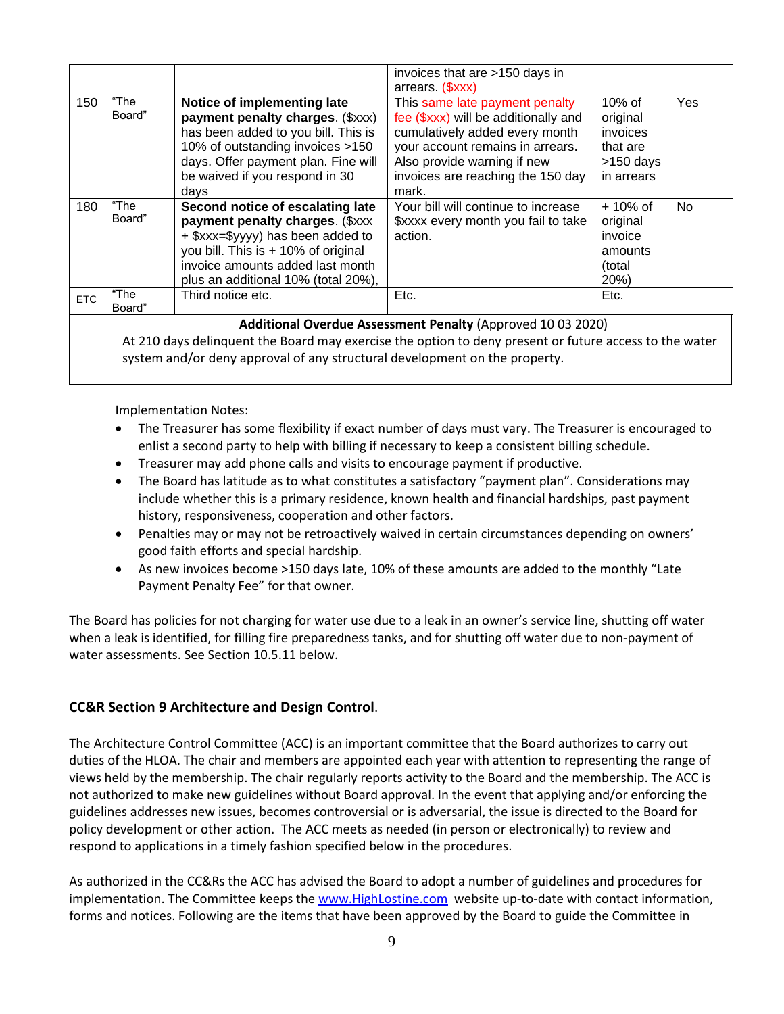|            |                |                                                                                                                                                                                                                             | invoices that are >150 days in<br>arrears (\$xxx)                                                                                                                                                                         |                                                                            |     |
|------------|----------------|-----------------------------------------------------------------------------------------------------------------------------------------------------------------------------------------------------------------------------|---------------------------------------------------------------------------------------------------------------------------------------------------------------------------------------------------------------------------|----------------------------------------------------------------------------|-----|
| 150        | "The<br>Board" | Notice of implementing late<br>payment penalty charges. (\$xxx)<br>has been added to you bill. This is<br>10% of outstanding invoices >150<br>days. Offer payment plan. Fine will<br>be waived if you respond in 30<br>days | This same late payment penalty<br>fee (\$xxx) will be additionally and<br>cumulatively added every month<br>your account remains in arrears.<br>Also provide warning if new<br>invoices are reaching the 150 day<br>mark. | $10\%$ of<br>original<br>invoices<br>that are<br>$>150$ days<br>in arrears | Yes |
| 180        | "The<br>Board" | Second notice of escalating late<br>payment penalty charges. (\$xxx<br>+ \$xxx=\$yyyy) has been added to<br>you bill. This is + 10% of original<br>invoice amounts added last month<br>plus an additional 10% (total 20%),  | Your bill will continue to increase<br>\$xxxx every month you fail to take<br>action.                                                                                                                                     | $+10\%$ of<br>original<br>invoice<br>amounts<br>(total<br>20%)             | No. |
| <b>ETC</b> | "The<br>Board" | Third notice etc.                                                                                                                                                                                                           | Etc.                                                                                                                                                                                                                      | Etc.                                                                       |     |

**Additional Overdue Assessment Penalty** (Approved 10 03 2020)

At 210 days delinquent the Board may exercise the option to deny present or future access to the water system and/or deny approval of any structural development on the property.

Implementation Notes:

- The Treasurer has some flexibility if exact number of days must vary. The Treasurer is encouraged to enlist a second party to help with billing if necessary to keep a consistent billing schedule.
- Treasurer may add phone calls and visits to encourage payment if productive.
- The Board has latitude as to what constitutes a satisfactory "payment plan". Considerations may include whether this is a primary residence, known health and financial hardships, past payment history, responsiveness, cooperation and other factors.
- Penalties may or may not be retroactively waived in certain circumstances depending on owners' good faith efforts and special hardship.
- As new invoices become >150 days late, 10% of these amounts are added to the monthly "Late Payment Penalty Fee" for that owner.

The Board has policies for not charging for water use due to a leak in an owner's service line, shutting off water when a leak is identified, for filling fire preparedness tanks, and for shutting off water due to non-payment of water assessments. See Section 10.5.11 below.

## **CC&R Section 9 Architecture and Design Control**.

The Architecture Control Committee (ACC) is an important committee that the Board authorizes to carry out duties of the HLOA. The chair and members are appointed each year with attention to representing the range of views held by the membership. The chair regularly reports activity to the Board and the membership. The ACC is not authorized to make new guidelines without Board approval. In the event that applying and/or enforcing the guidelines addresses new issues, becomes controversial or is adversarial, the issue is directed to the Board for policy development or other action. The ACC meets as needed (in person or electronically) to review and respond to applications in a timely fashion specified below in the procedures.

As authorized in the CC&Rs the ACC has advised the Board to adopt a number of guidelines and procedures for implementation. The Committee keeps th[e www.HighLostine.com](http://www.highlostine.com/) website up-to-date with contact information, forms and notices. Following are the items that have been approved by the Board to guide the Committee in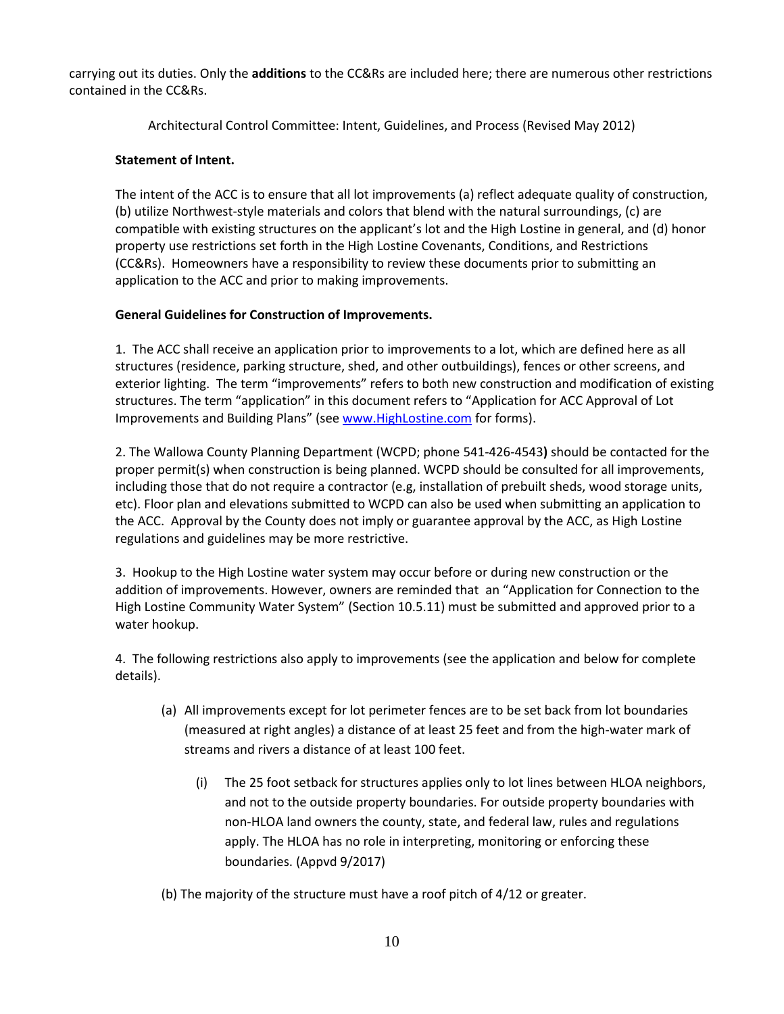carrying out its duties. Only the **additions** to the CC&Rs are included here; there are numerous other restrictions contained in the CC&Rs.

Architectural Control Committee: Intent, Guidelines, and Process (Revised May 2012)

## **Statement of Intent.**

The intent of the ACC is to ensure that all lot improvements (a) reflect adequate quality of construction, (b) utilize Northwest-style materials and colors that blend with the natural surroundings, (c) are compatible with existing structures on the applicant's lot and the High Lostine in general, and (d) honor property use restrictions set forth in the High Lostine Covenants, Conditions, and Restrictions (CC&Rs). Homeowners have a responsibility to review these documents prior to submitting an application to the ACC and prior to making improvements.

## **General Guidelines for Construction of Improvements.**

1. The ACC shall receive an application prior to improvements to a lot, which are defined here as all structures (residence, parking structure, shed, and other outbuildings), fences or other screens, and exterior lighting. The term "improvements" refers to both new construction and modification of existing structures. The term "application" in this document refers to "Application for ACC Approval of Lot Improvements and Building Plans" (se[e www.HighLostine.com](http://www.highlostine.com/) for forms).

2. The Wallowa County Planning Department (WCPD; phone [541-426-4543](tel:541-426-4543)**)** should be contacted for the proper permit(s) when construction is being planned. WCPD should be consulted for all improvements, including those that do not require a contractor (e.g, installation of prebuilt sheds, wood storage units, etc). Floor plan and elevations submitted to WCPD can also be used when submitting an application to the ACC. Approval by the County does not imply or guarantee approval by the ACC, as High Lostine regulations and guidelines may be more restrictive.

3. Hookup to the High Lostine water system may occur before or during new construction or the addition of improvements. However, owners are reminded that an "Application for Connection to the High Lostine Community Water System" (Section 10.5.11) must be submitted and approved prior to a water hookup.

4. The following restrictions also apply to improvements (see the application and below for complete details).

- (a) All improvements except for lot perimeter fences are to be set back from lot boundaries (measured at right angles) a distance of at least 25 feet and from the high-water mark of streams and rivers a distance of at least 100 feet.
	- (i) The 25 foot setback for structures applies only to lot lines between HLOA neighbors, and not to the outside property boundaries. For outside property boundaries with non-HLOA land owners the county, state, and federal law, rules and regulations apply. The HLOA has no role in interpreting, monitoring or enforcing these boundaries. (Appvd 9/2017)
- (b) The majority of the structure must have a roof pitch of 4/12 or greater.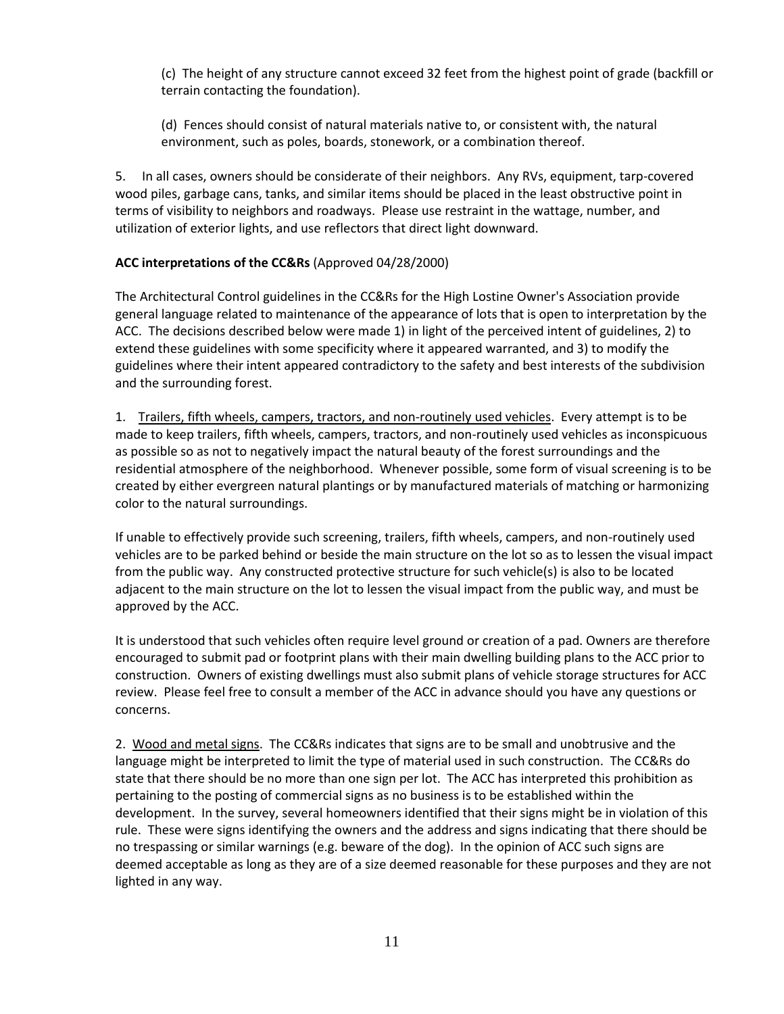(c) The height of any structure cannot exceed 32 feet from the highest point of grade (backfill or terrain contacting the foundation).

(d) Fences should consist of natural materials native to, or consistent with, the natural environment, such as poles, boards, stonework, or a combination thereof.

5. In all cases, owners should be considerate of their neighbors. Any RVs, equipment, tarp-covered wood piles, garbage cans, tanks, and similar items should be placed in the least obstructive point in terms of visibility to neighbors and roadways. Please use restraint in the wattage, number, and utilization of exterior lights, and use reflectors that direct light downward.

## **ACC interpretations of the CC&Rs** (Approved 04/28/2000)

The Architectural Control guidelines in the CC&Rs for the High Lostine Owner's Association provide general language related to maintenance of the appearance of lots that is open to interpretation by the ACC. The decisions described below were made 1) in light of the perceived intent of guidelines, 2) to extend these guidelines with some specificity where it appeared warranted, and 3) to modify the guidelines where their intent appeared contradictory to the safety and best interests of the subdivision and the surrounding forest.

1. Trailers, fifth wheels, campers, tractors, and non-routinely used vehicles. Every attempt is to be made to keep trailers, fifth wheels, campers, tractors, and non-routinely used vehicles as inconspicuous as possible so as not to negatively impact the natural beauty of the forest surroundings and the residential atmosphere of the neighborhood. Whenever possible, some form of visual screening is to be created by either evergreen natural plantings or by manufactured materials of matching or harmonizing color to the natural surroundings.

If unable to effectively provide such screening, trailers, fifth wheels, campers, and non-routinely used vehicles are to be parked behind or beside the main structure on the lot so as to lessen the visual impact from the public way. Any constructed protective structure for such vehicle(s) is also to be located adjacent to the main structure on the lot to lessen the visual impact from the public way, and must be approved by the ACC.

It is understood that such vehicles often require level ground or creation of a pad. Owners are therefore encouraged to submit pad or footprint plans with their main dwelling building plans to the ACC prior to construction. Owners of existing dwellings must also submit plans of vehicle storage structures for ACC review. Please feel free to consult a member of the ACC in advance should you have any questions or concerns.

2. Wood and metal signs. The CC&Rs indicates that signs are to be small and unobtrusive and the language might be interpreted to limit the type of material used in such construction. The CC&Rs do state that there should be no more than one sign per lot. The ACC has interpreted this prohibition as pertaining to the posting of commercial signs as no business is to be established within the development. In the survey, several homeowners identified that their signs might be in violation of this rule. These were signs identifying the owners and the address and signs indicating that there should be no trespassing or similar warnings (e.g. beware of the dog). In the opinion of ACC such signs are deemed acceptable as long as they are of a size deemed reasonable for these purposes and they are not lighted in any way.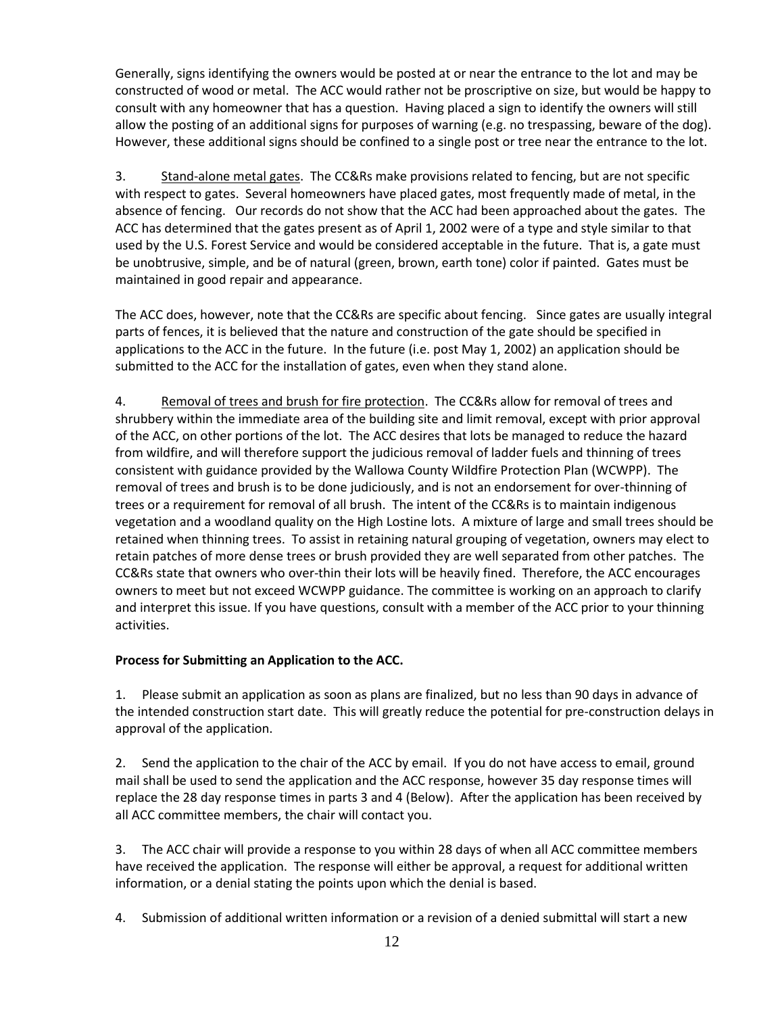Generally, signs identifying the owners would be posted at or near the entrance to the lot and may be constructed of wood or metal. The ACC would rather not be proscriptive on size, but would be happy to consult with any homeowner that has a question. Having placed a sign to identify the owners will still allow the posting of an additional signs for purposes of warning (e.g. no trespassing, beware of the dog). However, these additional signs should be confined to a single post or tree near the entrance to the lot.

3. Stand-alone metal gates. The CC&Rs make provisions related to fencing, but are not specific with respect to gates. Several homeowners have placed gates, most frequently made of metal, in the absence of fencing. Our records do not show that the ACC had been approached about the gates. The ACC has determined that the gates present as of April 1, 2002 were of a type and style similar to that used by the U.S. Forest Service and would be considered acceptable in the future. That is, a gate must be unobtrusive, simple, and be of natural (green, brown, earth tone) color if painted. Gates must be maintained in good repair and appearance.

The ACC does, however, note that the CC&Rs are specific about fencing. Since gates are usually integral parts of fences, it is believed that the nature and construction of the gate should be specified in applications to the ACC in the future. In the future (i.e. post May 1, 2002) an application should be submitted to the ACC for the installation of gates, even when they stand alone.

4. Removal of trees and brush for fire protection. The CC&Rs allow for removal of trees and shrubbery within the immediate area of the building site and limit removal, except with prior approval of the ACC, on other portions of the lot. The ACC desires that lots be managed to reduce the hazard from wildfire, and will therefore support the judicious removal of ladder fuels and thinning of trees consistent with guidance provided by the Wallowa County Wildfire Protection Plan (WCWPP). The removal of trees and brush is to be done judiciously, and is not an endorsement for over-thinning of trees or a requirement for removal of all brush. The intent of the CC&Rs is to maintain indigenous vegetation and a woodland quality on the High Lostine lots. A mixture of large and small trees should be retained when thinning trees. To assist in retaining natural grouping of vegetation, owners may elect to retain patches of more dense trees or brush provided they are well separated from other patches. The CC&Rs state that owners who over-thin their lots will be heavily fined. Therefore, the ACC encourages owners to meet but not exceed WCWPP guidance. The committee is working on an approach to clarify and interpret this issue. If you have questions, consult with a member of the ACC prior to your thinning activities.

## **Process for Submitting an Application to the ACC.**

1. Please submit an application as soon as plans are finalized, but no less than 90 days in advance of the intended construction start date. This will greatly reduce the potential for pre-construction delays in approval of the application.

2. Send the application to the chair of the ACC by email. If you do not have access to email, ground mail shall be used to send the application and the ACC response, however 35 day response times will replace the 28 day response times in parts 3 and 4 (Below). After the application has been received by all ACC committee members, the chair will contact you.

3. The ACC chair will provide a response to you within 28 days of when all ACC committee members have received the application. The response will either be approval, a request for additional written information, or a denial stating the points upon which the denial is based.

4. Submission of additional written information or a revision of a denied submittal will start a new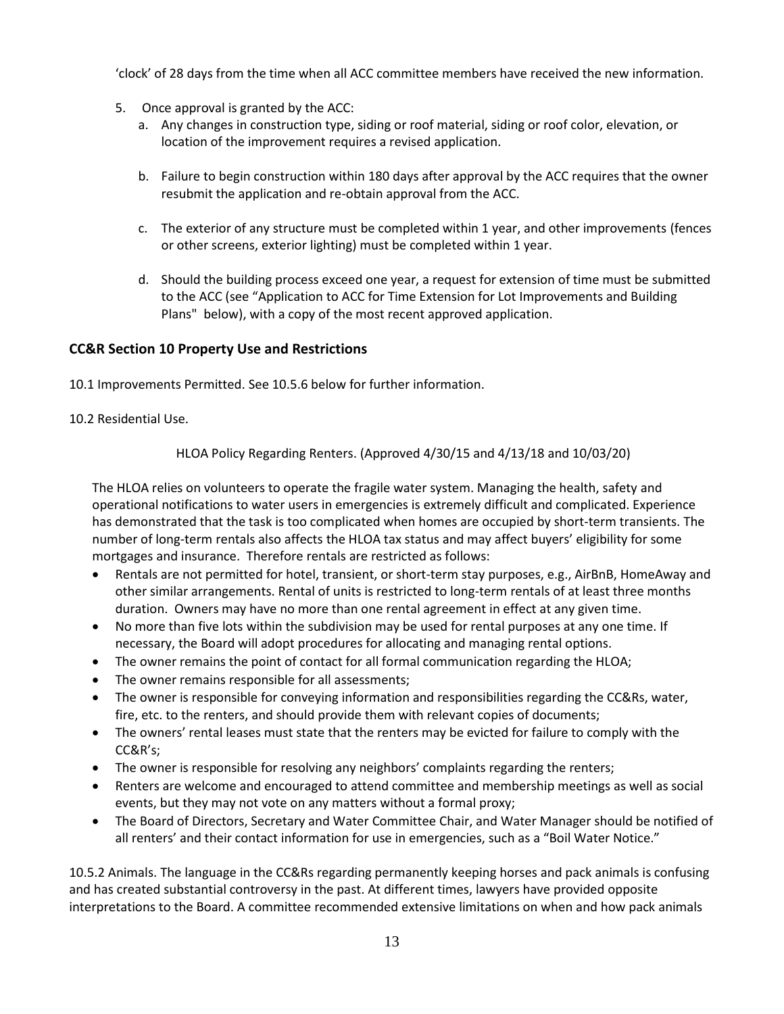'clock' of 28 days from the time when all ACC committee members have received the new information.

- 5. Once approval is granted by the ACC:
	- a. Any changes in construction type, siding or roof material, siding or roof color, elevation, or location of the improvement requires a revised application.
	- b. Failure to begin construction within 180 days after approval by the ACC requires that the owner resubmit the application and re-obtain approval from the ACC.
	- c. The exterior of any structure must be completed within 1 year, and other improvements (fences or other screens, exterior lighting) must be completed within 1 year.
	- d. Should the building process exceed one year, a request for extension of time must be submitted to the ACC (see "Application to ACC for Time Extension for Lot Improvements and Building Plans" below), with a copy of the most recent approved application.

## **CC&R Section 10 Property Use and Restrictions**

10.1 Improvements Permitted. See 10.5.6 below for further information.

## 10.2 Residential Use.

HLOA Policy Regarding Renters. (Approved 4/30/15 and 4/13/18 and 10/03/20)

The HLOA relies on volunteers to operate the fragile water system. Managing the health, safety and operational notifications to water users in emergencies is extremely difficult and complicated. Experience has demonstrated that the task is too complicated when homes are occupied by short-term transients. The number of long-term rentals also affects the HLOA tax status and may affect buyers' eligibility for some mortgages and insurance. Therefore rentals are restricted as follows:

- Rentals are not permitted for hotel, transient, or short-term stay purposes, e.g., AirBnB, HomeAway and other similar arrangements. Rental of units is restricted to long-term rentals of at least three months duration. Owners may have no more than one rental agreement in effect at any given time.
- No more than five lots within the subdivision may be used for rental purposes at any one time. If necessary, the Board will adopt procedures for allocating and managing rental options.
- The owner remains the point of contact for all formal communication regarding the HLOA;
- The owner remains responsible for all assessments;
- The owner is responsible for conveying information and responsibilities regarding the CC&Rs, water, fire, etc. to the renters, and should provide them with relevant copies of documents;
- The owners' rental leases must state that the renters may be evicted for failure to comply with the CC&R's;
- The owner is responsible for resolving any neighbors' complaints regarding the renters;
- Renters are welcome and encouraged to attend committee and membership meetings as well as social events, but they may not vote on any matters without a formal proxy;
- The Board of Directors, Secretary and Water Committee Chair, and Water Manager should be notified of all renters' and their contact information for use in emergencies, such as a "Boil Water Notice."

10.5.2 Animals. The language in the CC&Rs regarding permanently keeping horses and pack animals is confusing and has created substantial controversy in the past. At different times, lawyers have provided opposite interpretations to the Board. A committee recommended extensive limitations on when and how pack animals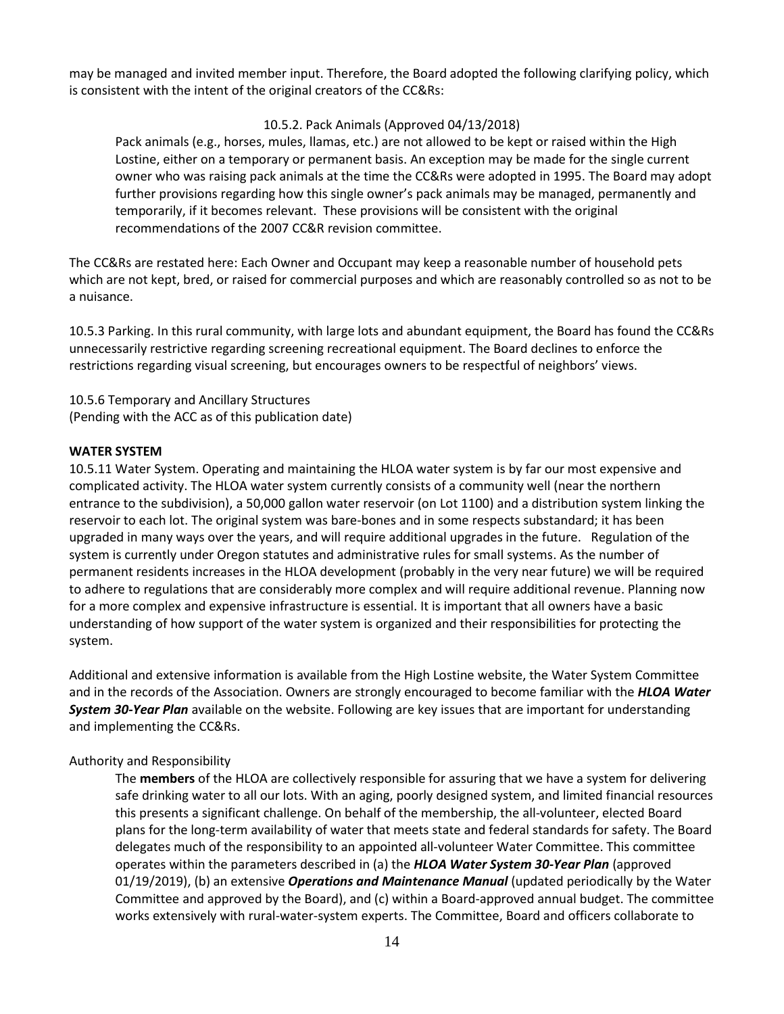may be managed and invited member input. Therefore, the Board adopted the following clarifying policy, which is consistent with the intent of the original creators of the CC&Rs:

#### 10.5.2. Pack Animals (Approved 04/13/2018)

Pack animals (e.g., horses, mules, llamas, etc.) are not allowed to be kept or raised within the High Lostine, either on a temporary or permanent basis. An exception may be made for the single current owner who was raising pack animals at the time the CC&Rs were adopted in 1995. The Board may adopt further provisions regarding how this single owner's pack animals may be managed, permanently and temporarily, if it becomes relevant. These provisions will be consistent with the original recommendations of the 2007 CC&R revision committee.

The CC&Rs are restated here: Each Owner and Occupant may keep a reasonable number of household pets which are not kept, bred, or raised for commercial purposes and which are reasonably controlled so as not to be a nuisance.

10.5.3 Parking. In this rural community, with large lots and abundant equipment, the Board has found the CC&Rs unnecessarily restrictive regarding screening recreational equipment. The Board declines to enforce the restrictions regarding visual screening, but encourages owners to be respectful of neighbors' views.

10.5.6 Temporary and Ancillary Structures (Pending with the ACC as of this publication date)

#### **WATER SYSTEM**

10.5.11 Water System. Operating and maintaining the HLOA water system is by far our most expensive and complicated activity. The HLOA water system currently consists of a community well (near the northern entrance to the subdivision), a 50,000 gallon water reservoir (on Lot 1100) and a distribution system linking the reservoir to each lot. The original system was bare-bones and in some respects substandard; it has been upgraded in many ways over the years, and will require additional upgrades in the future. Regulation of the system is currently under Oregon statutes and administrative rules for small systems. As the number of permanent residents increases in the HLOA development (probably in the very near future) we will be required to adhere to regulations that are considerably more complex and will require additional revenue. Planning now for a more complex and expensive infrastructure is essential. It is important that all owners have a basic understanding of how support of the water system is organized and their responsibilities for protecting the system.

Additional and extensive information is available from the High Lostine website, the Water System Committee and in the records of the Association. Owners are strongly encouraged to become familiar with the *HLOA Water System 30-Year Plan* available on the website. Following are key issues that are important for understanding and implementing the CC&Rs.

## Authority and Responsibility

The **members** of the HLOA are collectively responsible for assuring that we have a system for delivering safe drinking water to all our lots. With an aging, poorly designed system, and limited financial resources this presents a significant challenge. On behalf of the membership, the all-volunteer, elected Board plans for the long-term availability of water that meets state and federal standards for safety. The Board delegates much of the responsibility to an appointed all-volunteer Water Committee. This committee operates within the parameters described in (a) the *HLOA Water System 30-Year Plan* (approved 01/19/2019), (b) an extensive *Operations and Maintenance Manual* (updated periodically by the Water Committee and approved by the Board), and (c) within a Board-approved annual budget. The committee works extensively with rural-water-system experts. The Committee, Board and officers collaborate to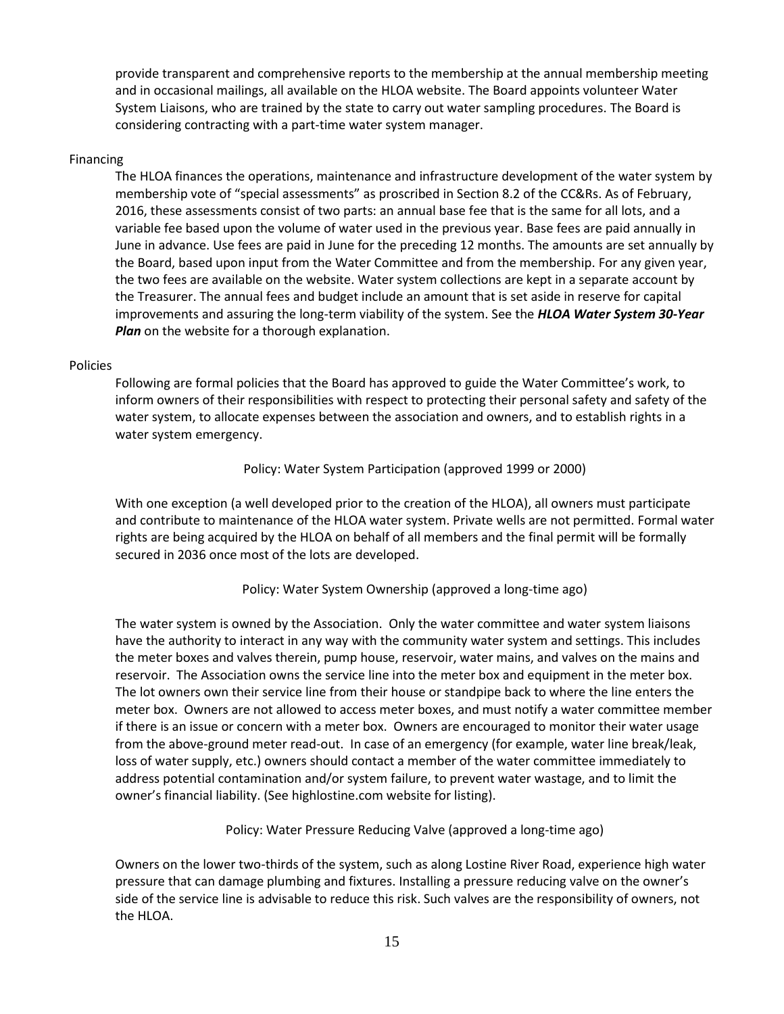provide transparent and comprehensive reports to the membership at the annual membership meeting and in occasional mailings, all available on the HLOA website. The Board appoints volunteer Water System Liaisons, who are trained by the state to carry out water sampling procedures. The Board is considering contracting with a part-time water system manager.

#### Financing

The HLOA finances the operations, maintenance and infrastructure development of the water system by membership vote of "special assessments" as proscribed in Section 8.2 of the CC&Rs. As of February, 2016, these assessments consist of two parts: an annual base fee that is the same for all lots, and a variable fee based upon the volume of water used in the previous year. Base fees are paid annually in June in advance. Use fees are paid in June for the preceding 12 months. The amounts are set annually by the Board, based upon input from the Water Committee and from the membership. For any given year, the two fees are available on the website. Water system collections are kept in a separate account by the Treasurer. The annual fees and budget include an amount that is set aside in reserve for capital improvements and assuring the long-term viability of the system. See the *HLOA Water System 30-Year Plan* on the website for a thorough explanation.

#### Policies

Following are formal policies that the Board has approved to guide the Water Committee's work, to inform owners of their responsibilities with respect to protecting their personal safety and safety of the water system, to allocate expenses between the association and owners, and to establish rights in a water system emergency.

Policy: Water System Participation (approved 1999 or 2000)

With one exception (a well developed prior to the creation of the HLOA), all owners must participate and contribute to maintenance of the HLOA water system. Private wells are not permitted. Formal water rights are being acquired by the HLOA on behalf of all members and the final permit will be formally secured in 2036 once most of the lots are developed.

Policy: Water System Ownership (approved a long-time ago)

The water system is owned by the Association. Only the water committee and water system liaisons have the authority to interact in any way with the community water system and settings. This includes the meter boxes and valves therein, pump house, reservoir, water mains, and valves on the mains and reservoir. The Association owns the service line into the meter box and equipment in the meter box. The lot owners own their service line from their house or standpipe back to where the line enters the meter box. Owners are not allowed to access meter boxes, and must notify a water committee member if there is an issue or concern with a meter box. Owners are encouraged to monitor their water usage from the above-ground meter read-out. In case of an emergency (for example, water line break/leak, loss of water supply, etc.) owners should contact a member of the water committee immediately to address potential contamination and/or system failure, to prevent water wastage, and to limit the owner's financial liability. (See highlostine.com website for listing).

Policy: Water Pressure Reducing Valve (approved a long-time ago)

Owners on the lower two-thirds of the system, such as along Lostine River Road, experience high water pressure that can damage plumbing and fixtures. Installing a pressure reducing valve on the owner's side of the service line is advisable to reduce this risk. Such valves are the responsibility of owners, not the HLOA.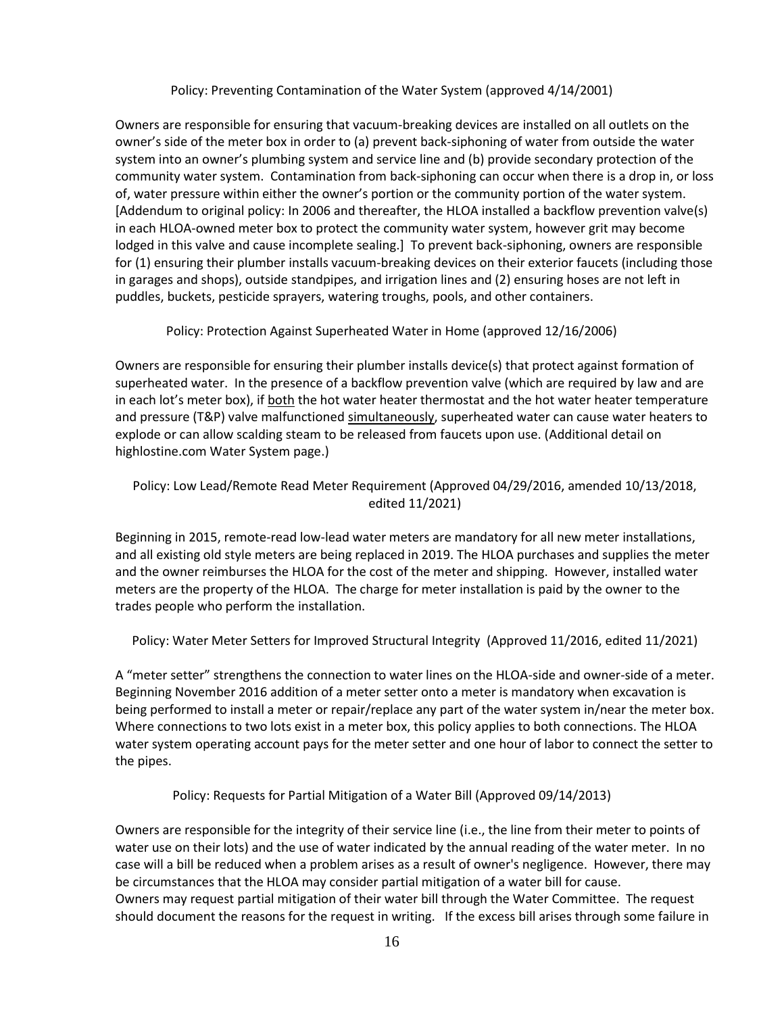#### Policy: Preventing Contamination of the Water System (approved 4/14/2001)

Owners are responsible for ensuring that vacuum-breaking devices are installed on all outlets on the owner's side of the meter box in order to (a) prevent back-siphoning of water from outside the water system into an owner's plumbing system and service line and (b) provide secondary protection of the community water system. Contamination from back-siphoning can occur when there is a drop in, or loss of, water pressure within either the owner's portion or the community portion of the water system. [Addendum to original policy: In 2006 and thereafter, the HLOA installed a backflow prevention valve(s) in each HLOA-owned meter box to protect the community water system, however grit may become lodged in this valve and cause incomplete sealing.] To prevent back-siphoning, owners are responsible for (1) ensuring their plumber installs vacuum-breaking devices on their exterior faucets (including those in garages and shops), outside standpipes, and irrigation lines and (2) ensuring hoses are not left in puddles, buckets, pesticide sprayers, watering troughs, pools, and other containers.

Policy: Protection Against Superheated Water in Home (approved 12/16/2006)

Owners are responsible for ensuring their plumber installs device(s) that protect against formation of superheated water. In the presence of a backflow prevention valve (which are required by law and are in each lot's meter box), if both the hot water heater thermostat and the hot water heater temperature and pressure (T&P) valve malfunctioned simultaneously, superheated water can cause water heaters to explode or can allow scalding steam to be released from faucets upon use. (Additional detail on highlostine.com Water System page.)

## Policy: Low Lead/Remote Read Meter Requirement (Approved 04/29/2016, amended 10/13/2018, edited 11/2021)

Beginning in 2015, remote-read low-lead water meters are mandatory for all new meter installations, and all existing old style meters are being replaced in 2019. The HLOA purchases and supplies the meter and the owner reimburses the HLOA for the cost of the meter and shipping. However, installed water meters are the property of the HLOA. The charge for meter installation is paid by the owner to the trades people who perform the installation.

Policy: Water Meter Setters for Improved Structural Integrity (Approved 11/2016, edited 11/2021)

A "meter setter" strengthens the connection to water lines on the HLOA-side and owner-side of a meter. Beginning November 2016 addition of a meter setter onto a meter is mandatory when excavation is being performed to install a meter or repair/replace any part of the water system in/near the meter box. Where connections to two lots exist in a meter box, this policy applies to both connections. The HLOA water system operating account pays for the meter setter and one hour of labor to connect the setter to the pipes.

Policy: Requests for Partial Mitigation of a Water Bill (Approved 09/14/2013)

Owners are responsible for the integrity of their service line (i.e., the line from their meter to points of water use on their lots) and the use of water indicated by the annual reading of the water meter. In no case will a bill be reduced when a problem arises as a result of owner's negligence. However, there may be circumstances that the HLOA may consider partial mitigation of a water bill for cause. Owners may request partial mitigation of their water bill through the Water Committee. The request should document the reasons for the request in writing. If the excess bill arises through some failure in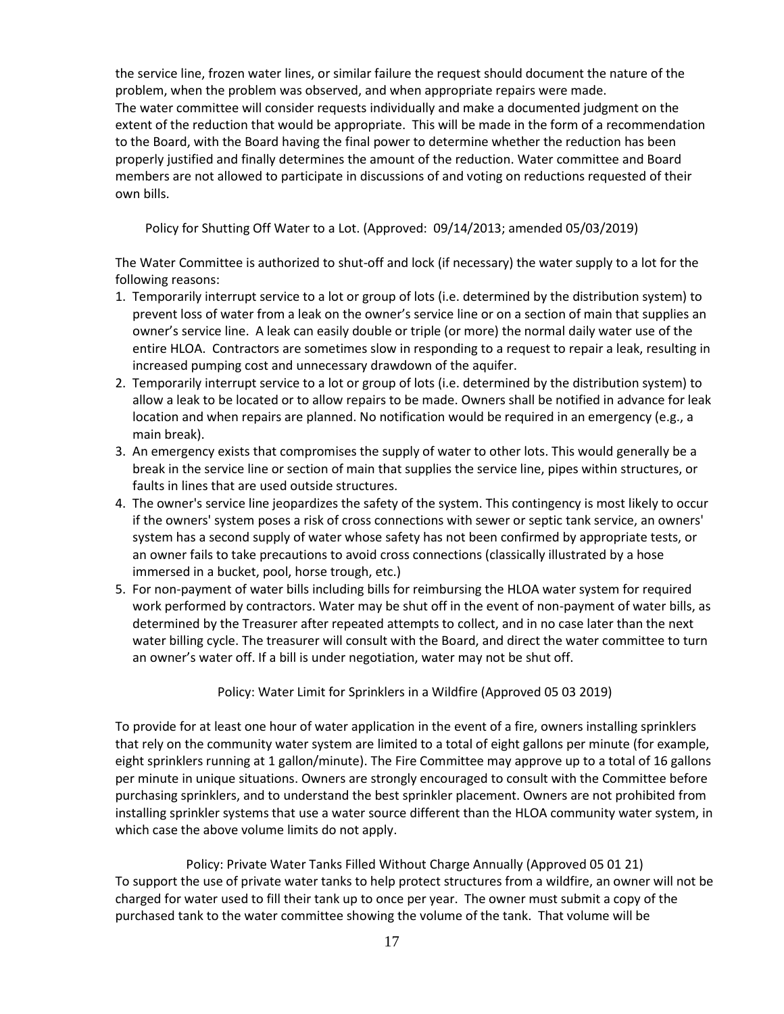the service line, frozen water lines, or similar failure the request should document the nature of the problem, when the problem was observed, and when appropriate repairs were made. The water committee will consider requests individually and make a documented judgment on the extent of the reduction that would be appropriate. This will be made in the form of a recommendation to the Board, with the Board having the final power to determine whether the reduction has been properly justified and finally determines the amount of the reduction. Water committee and Board members are not allowed to participate in discussions of and voting on reductions requested of their own bills.

Policy for Shutting Off Water to a Lot. (Approved: 09/14/2013; amended 05/03/2019)

The Water Committee is authorized to shut-off and lock (if necessary) the water supply to a lot for the following reasons:

- 1. Temporarily interrupt service to a lot or group of lots (i.e. determined by the distribution system) to prevent loss of water from a leak on the owner's service line or on a section of main that supplies an owner's service line. A leak can easily double or triple (or more) the normal daily water use of the entire HLOA. Contractors are sometimes slow in responding to a request to repair a leak, resulting in increased pumping cost and unnecessary drawdown of the aquifer.
- 2. Temporarily interrupt service to a lot or group of lots (i.e. determined by the distribution system) to allow a leak to be located or to allow repairs to be made. Owners shall be notified in advance for leak location and when repairs are planned. No notification would be required in an emergency (e.g., a main break).
- 3. An emergency exists that compromises the supply of water to other lots. This would generally be a break in the service line or section of main that supplies the service line, pipes within structures, or faults in lines that are used outside structures.
- 4. The owner's service line jeopardizes the safety of the system. This contingency is most likely to occur if the owners' system poses a risk of cross connections with sewer or septic tank service, an owners' system has a second supply of water whose safety has not been confirmed by appropriate tests, or an owner fails to take precautions to avoid cross connections (classically illustrated by a hose immersed in a bucket, pool, horse trough, etc.)
- 5. For non-payment of water bills including bills for reimbursing the HLOA water system for required work performed by contractors. Water may be shut off in the event of non-payment of water bills, as determined by the Treasurer after repeated attempts to collect, and in no case later than the next water billing cycle. The treasurer will consult with the Board, and direct the water committee to turn an owner's water off. If a bill is under negotiation, water may not be shut off.

Policy: Water Limit for Sprinklers in a Wildfire (Approved 05 03 2019)

To provide for at least one hour of water application in the event of a fire, owners installing sprinklers that rely on the community water system are limited to a total of eight gallons per minute (for example, eight sprinklers running at 1 gallon/minute). The Fire Committee may approve up to a total of 16 gallons per minute in unique situations. Owners are strongly encouraged to consult with the Committee before purchasing sprinklers, and to understand the best sprinkler placement. Owners are not prohibited from installing sprinkler systems that use a water source different than the HLOA community water system, in which case the above volume limits do not apply.

Policy: Private Water Tanks Filled Without Charge Annually (Approved 05 01 21) To support the use of private water tanks to help protect structures from a wildfire, an owner will not be charged for water used to fill their tank up to once per year. The owner must submit a copy of the purchased tank to the water committee showing the volume of the tank. That volume will be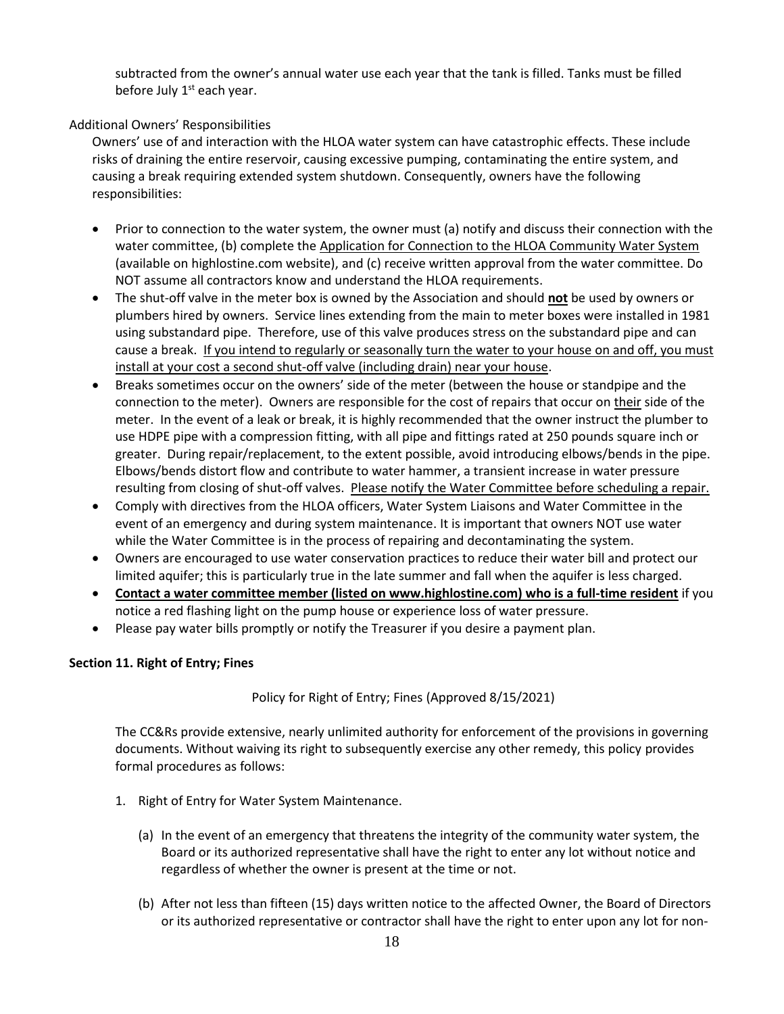subtracted from the owner's annual water use each year that the tank is filled. Tanks must be filled before July  $1<sup>st</sup>$  each year.

## Additional Owners' Responsibilities

Owners' use of and interaction with the HLOA water system can have catastrophic effects. These include risks of draining the entire reservoir, causing excessive pumping, contaminating the entire system, and causing a break requiring extended system shutdown. Consequently, owners have the following responsibilities:

- Prior to connection to the water system, the owner must (a) notify and discuss their connection with the water committee, (b) complete the Application for Connection to the HLOA Community Water System (available on highlostine.com website), and (c) receive written approval from the water committee. Do NOT assume all contractors know and understand the HLOA requirements.
- The shut-off valve in the meter box is owned by the Association and should **not** be used by owners or plumbers hired by owners. Service lines extending from the main to meter boxes were installed in 1981 using substandard pipe. Therefore, use of this valve produces stress on the substandard pipe and can cause a break. If you intend to regularly or seasonally turn the water to your house on and off, you must install at your cost a second shut-off valve (including drain) near your house.
- Breaks sometimes occur on the owners' side of the meter (between the house or standpipe and the connection to the meter). Owners are responsible for the cost of repairs that occur on their side of the meter. In the event of a leak or break, it is highly recommended that the owner instruct the plumber to use HDPE pipe with a compression fitting, with all pipe and fittings rated at 250 pounds square inch or greater. During repair/replacement, to the extent possible, avoid introducing elbows/bends in the pipe. Elbows/bends distort flow and contribute to water hammer, a transient increase in water pressure resulting from closing of shut-off valves. Please notify the Water Committee before scheduling a repair.
- Comply with directives from the HLOA officers, Water System Liaisons and Water Committee in the event of an emergency and during system maintenance. It is important that owners NOT use water while the Water Committee is in the process of repairing and decontaminating the system.
- Owners are encouraged to use water conservation practices to reduce their water bill and protect our limited aquifer; this is particularly true in the late summer and fall when the aquifer is less charged.
- **Contact a water committee member (listed on www.highlostine.com) who is a full-time resident** if you notice a red flashing light on the pump house or experience loss of water pressure.
- Please pay water bills promptly or notify the Treasurer if you desire a payment plan.

## **Section 11. Right of Entry; Fines**

Policy for Right of Entry; Fines (Approved 8/15/2021)

The CC&Rs provide extensive, nearly unlimited authority for enforcement of the provisions in governing documents. Without waiving its right to subsequently exercise any other remedy, this policy provides formal procedures as follows:

- 1. Right of Entry for Water System Maintenance.
	- (a) In the event of an emergency that threatens the integrity of the community water system, the Board or its authorized representative shall have the right to enter any lot without notice and regardless of whether the owner is present at the time or not.
	- (b) After not less than fifteen (15) days written notice to the affected Owner, the Board of Directors or its authorized representative or contractor shall have the right to enter upon any lot for non-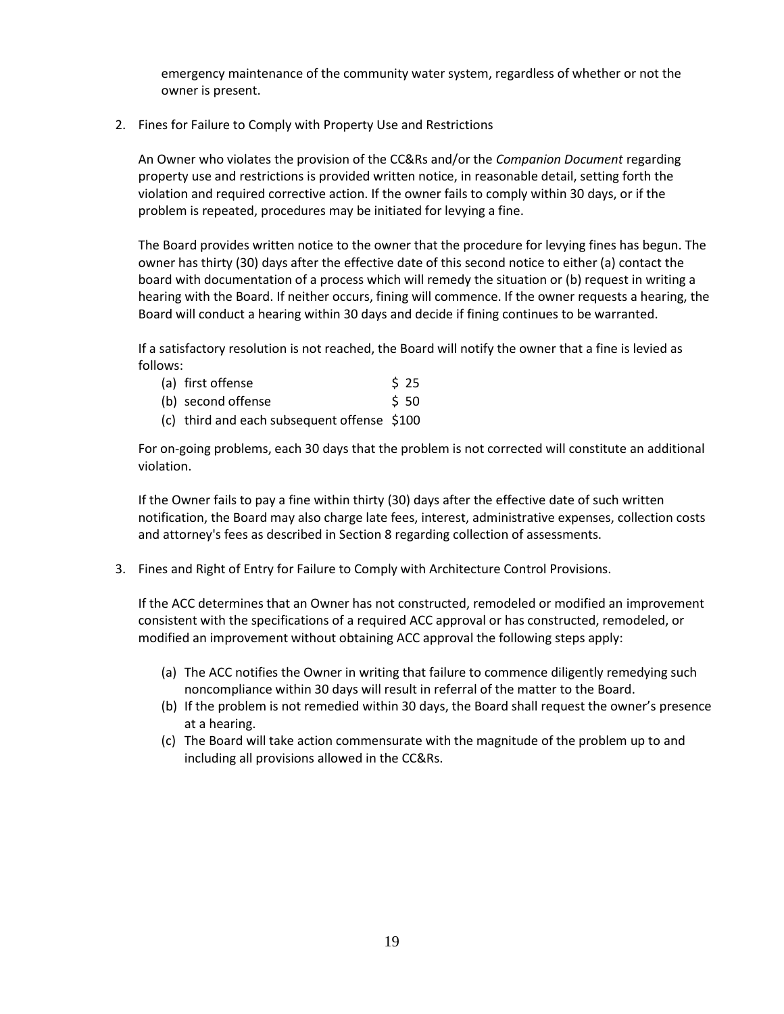emergency maintenance of the community water system, regardless of whether or not the owner is present.

2. Fines for Failure to Comply with Property Use and Restrictions

An Owner who violates the provision of the CC&Rs and/or the *Companion Document* regarding property use and restrictions is provided written notice, in reasonable detail, setting forth the violation and required corrective action. If the owner fails to comply within 30 days, or if the problem is repeated, procedures may be initiated for levying a fine.

The Board provides written notice to the owner that the procedure for levying fines has begun. The owner has thirty (30) days after the effective date of this second notice to either (a) contact the board with documentation of a process which will remedy the situation or (b) request in writing a hearing with the Board. If neither occurs, fining will commence. If the owner requests a hearing, the Board will conduct a hearing within 30 days and decide if fining continues to be warranted.

If a satisfactory resolution is not reached, the Board will notify the owner that a fine is levied as follows:

| (a) first offense | \$25 |
|-------------------|------|
|-------------------|------|

| \$50 |
|------|
|      |

(c) third and each subsequent offense \$100

For on-going problems, each 30 days that the problem is not corrected will constitute an additional violation.

If the Owner fails to pay a fine within thirty (30) days after the effective date of such written notification, the Board may also charge late fees, interest, administrative expenses, collection costs and attorney's fees as described in Section 8 regarding collection of assessments.

3. Fines and Right of Entry for Failure to Comply with Architecture Control Provisions.

If the ACC determines that an Owner has not constructed, remodeled or modified an improvement consistent with the specifications of a required ACC approval or has constructed, remodeled, or modified an improvement without obtaining ACC approval the following steps apply:

- (a) The ACC notifies the Owner in writing that failure to commence diligently remedying such noncompliance within 30 days will result in referral of the matter to the Board.
- (b) If the problem is not remedied within 30 days, the Board shall request the owner's presence at a hearing.
- (c) The Board will take action commensurate with the magnitude of the problem up to and including all provisions allowed in the CC&Rs.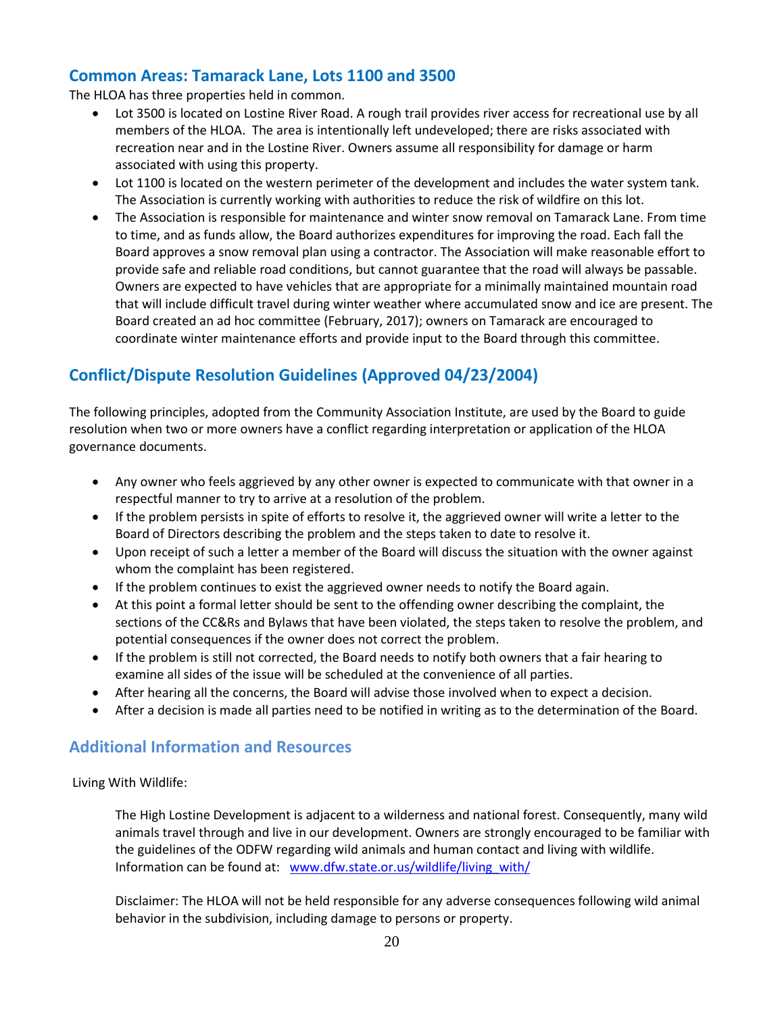## **Common Areas: Tamarack Lane, Lots 1100 and 3500**

The HLOA has three properties held in common.

- Lot 3500 is located on Lostine River Road. A rough trail provides river access for recreational use by all members of the HLOA. The area is intentionally left undeveloped; there are risks associated with recreation near and in the Lostine River. Owners assume all responsibility for damage or harm associated with using this property.
- Lot 1100 is located on the western perimeter of the development and includes the water system tank. The Association is currently working with authorities to reduce the risk of wildfire on this lot.
- The Association is responsible for maintenance and winter snow removal on Tamarack Lane. From time to time, and as funds allow, the Board authorizes expenditures for improving the road. Each fall the Board approves a snow removal plan using a contractor. The Association will make reasonable effort to provide safe and reliable road conditions, but cannot guarantee that the road will always be passable. Owners are expected to have vehicles that are appropriate for a minimally maintained mountain road that will include difficult travel during winter weather where accumulated snow and ice are present. The Board created an ad hoc committee (February, 2017); owners on Tamarack are encouraged to coordinate winter maintenance efforts and provide input to the Board through this committee.

## **Conflict/Dispute Resolution Guidelines (Approved 04/23/2004)**

The following principles, adopted from the Community Association Institute, are used by the Board to guide resolution when two or more owners have a conflict regarding interpretation or application of the HLOA governance documents.

- Any owner who feels aggrieved by any other owner is expected to communicate with that owner in a respectful manner to try to arrive at a resolution of the problem.
- If the problem persists in spite of efforts to resolve it, the aggrieved owner will write a letter to the Board of Directors describing the problem and the steps taken to date to resolve it.
- Upon receipt of such a letter a member of the Board will discuss the situation with the owner against whom the complaint has been registered.
- If the problem continues to exist the aggrieved owner needs to notify the Board again.
- At this point a formal letter should be sent to the offending owner describing the complaint, the sections of the CC&Rs and Bylaws that have been violated, the steps taken to resolve the problem, and potential consequences if the owner does not correct the problem.
- If the problem is still not corrected, the Board needs to notify both owners that a fair hearing to examine all sides of the issue will be scheduled at the convenience of all parties.
- After hearing all the concerns, the Board will advise those involved when to expect a decision.
- After a decision is made all parties need to be notified in writing as to the determination of the Board.

## **Additional Information and Resources**

Living With Wildlife:

The High Lostine Development is adjacent to a wilderness and national forest. Consequently, many wild animals travel through and live in our development. Owners are strongly encouraged to be familiar with the guidelines of the ODFW regarding wild animals and human contact and living with wildlife. Information can be found at: [www.dfw.state.or.us/wildlife/living\\_with/](http://www.dfw.state.or.us/wildlife/living_with/)

Disclaimer: The HLOA will not be held responsible for any adverse consequences following wild animal behavior in the subdivision, including damage to persons or property.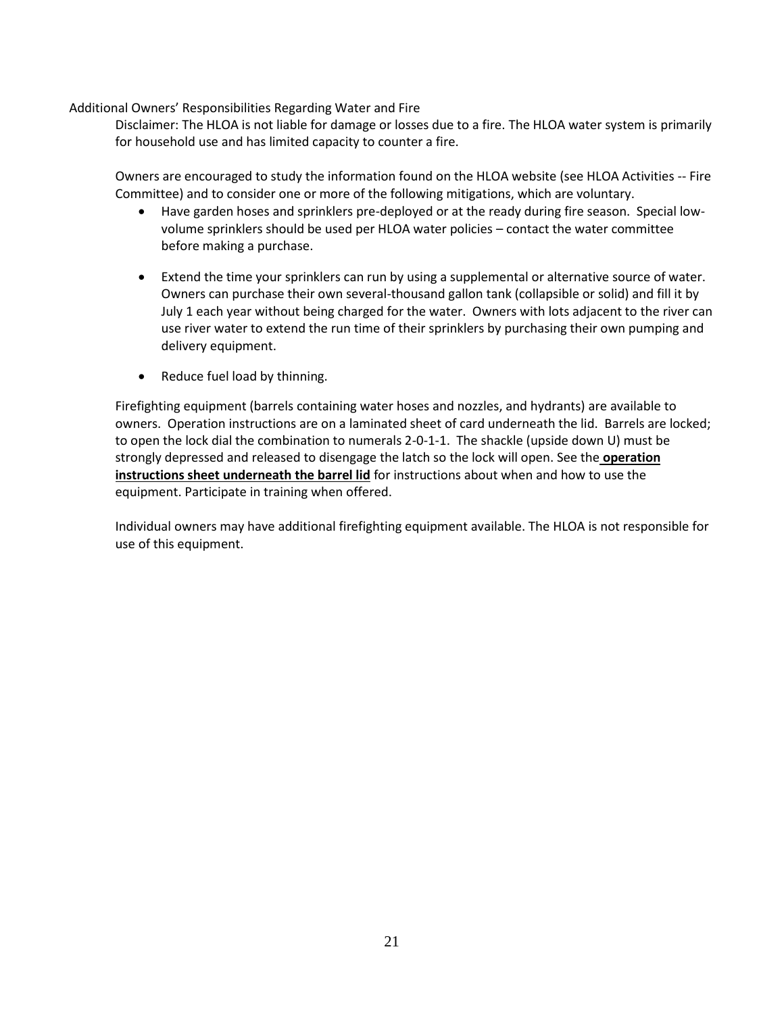Additional Owners' Responsibilities Regarding Water and Fire

Disclaimer: The HLOA is not liable for damage or losses due to a fire. The HLOA water system is primarily for household use and has limited capacity to counter a fire.

Owners are encouraged to study the information found on the HLOA website (see HLOA Activities -- Fire Committee) and to consider one or more of the following mitigations, which are voluntary.

- Have garden hoses and sprinklers pre-deployed or at the ready during fire season. Special lowvolume sprinklers should be used per HLOA water policies – contact the water committee before making a purchase.
- Extend the time your sprinklers can run by using a supplemental or alternative source of water. Owners can purchase their own several-thousand gallon tank (collapsible or solid) and fill it by July 1 each year without being charged for the water. Owners with lots adjacent to the river can use river water to extend the run time of their sprinklers by purchasing their own pumping and delivery equipment.
- Reduce fuel load by thinning.

Firefighting equipment (barrels containing water hoses and nozzles, and hydrants) are available to owners. Operation instructions are on a laminated sheet of card underneath the lid. Barrels are locked; to open the lock dial the combination to numerals 2-0-1-1. The shackle (upside down U) must be strongly depressed and released to disengage the latch so the lock will open. See the **operation instructions sheet underneath the barrel lid** for instructions about when and how to use the equipment. Participate in training when offered.

Individual owners may have additional firefighting equipment available. The HLOA is not responsible for use of this equipment.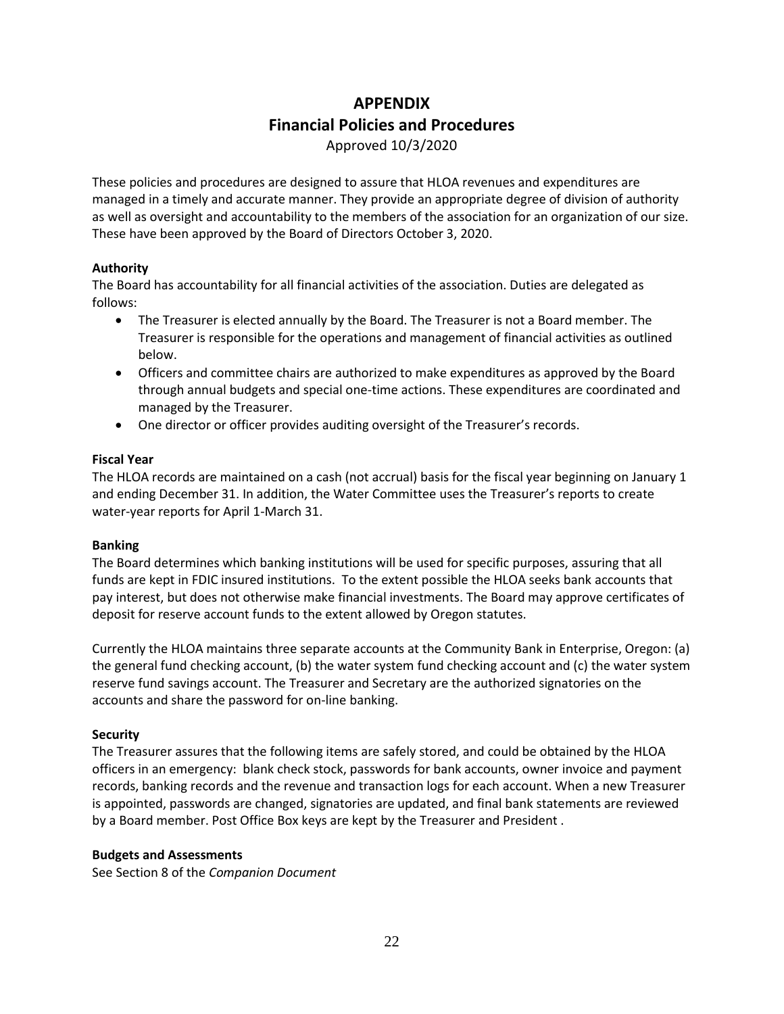# **APPENDIX Financial Policies and Procedures**

Approved 10/3/2020

These policies and procedures are designed to assure that HLOA revenues and expenditures are managed in a timely and accurate manner. They provide an appropriate degree of division of authority as well as oversight and accountability to the members of the association for an organization of our size. These have been approved by the Board of Directors October 3, 2020.

## **Authority**

The Board has accountability for all financial activities of the association. Duties are delegated as follows:

- The Treasurer is elected annually by the Board. The Treasurer is not a Board member. The Treasurer is responsible for the operations and management of financial activities as outlined below.
- Officers and committee chairs are authorized to make expenditures as approved by the Board through annual budgets and special one-time actions. These expenditures are coordinated and managed by the Treasurer.
- One director or officer provides auditing oversight of the Treasurer's records.

## **Fiscal Year**

The HLOA records are maintained on a cash (not accrual) basis for the fiscal year beginning on January 1 and ending December 31. In addition, the Water Committee uses the Treasurer's reports to create water-year reports for April 1-March 31.

## **Banking**

The Board determines which banking institutions will be used for specific purposes, assuring that all funds are kept in FDIC insured institutions. To the extent possible the HLOA seeks bank accounts that pay interest, but does not otherwise make financial investments. The Board may approve certificates of deposit for reserve account funds to the extent allowed by Oregon statutes.

Currently the HLOA maintains three separate accounts at the Community Bank in Enterprise, Oregon: (a) the general fund checking account, (b) the water system fund checking account and (c) the water system reserve fund savings account. The Treasurer and Secretary are the authorized signatories on the accounts and share the password for on-line banking.

## **Security**

The Treasurer assures that the following items are safely stored, and could be obtained by the HLOA officers in an emergency: blank check stock, passwords for bank accounts, owner invoice and payment records, banking records and the revenue and transaction logs for each account. When a new Treasurer is appointed, passwords are changed, signatories are updated, and final bank statements are reviewed by a Board member. Post Office Box keys are kept by the Treasurer and President .

## **Budgets and Assessments**

See Section 8 of the *Companion Document*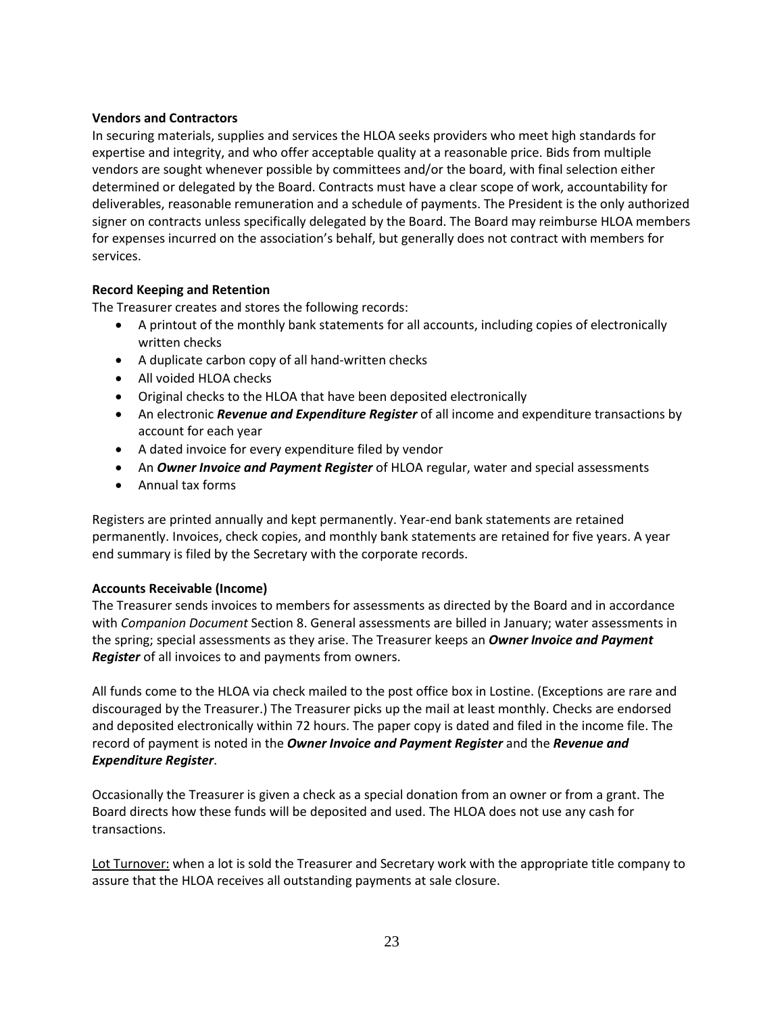## **Vendors and Contractors**

In securing materials, supplies and services the HLOA seeks providers who meet high standards for expertise and integrity, and who offer acceptable quality at a reasonable price. Bids from multiple vendors are sought whenever possible by committees and/or the board, with final selection either determined or delegated by the Board. Contracts must have a clear scope of work, accountability for deliverables, reasonable remuneration and a schedule of payments. The President is the only authorized signer on contracts unless specifically delegated by the Board. The Board may reimburse HLOA members for expenses incurred on the association's behalf, but generally does not contract with members for services.

## **Record Keeping and Retention**

The Treasurer creates and stores the following records:

- A printout of the monthly bank statements for all accounts, including copies of electronically written checks
- A duplicate carbon copy of all hand-written checks
- All voided HLOA checks
- Original checks to the HLOA that have been deposited electronically
- An electronic *Revenue and Expenditure Register* of all income and expenditure transactions by account for each year
- A dated invoice for every expenditure filed by vendor
- An *Owner Invoice and Payment Register* of HLOA regular, water and special assessments
- Annual tax forms

Registers are printed annually and kept permanently. Year-end bank statements are retained permanently. Invoices, check copies, and monthly bank statements are retained for five years. A year end summary is filed by the Secretary with the corporate records.

## **Accounts Receivable (Income)**

The Treasurer sends invoices to members for assessments as directed by the Board and in accordance with *Companion Document* Section 8. General assessments are billed in January; water assessments in the spring; special assessments as they arise. The Treasurer keeps an *Owner Invoice and Payment Register* of all invoices to and payments from owners.

All funds come to the HLOA via check mailed to the post office box in Lostine. (Exceptions are rare and discouraged by the Treasurer.) The Treasurer picks up the mail at least monthly. Checks are endorsed and deposited electronically within 72 hours. The paper copy is dated and filed in the income file. The record of payment is noted in the *Owner Invoice and Payment Register* and the *Revenue and Expenditure Register*.

Occasionally the Treasurer is given a check as a special donation from an owner or from a grant. The Board directs how these funds will be deposited and used. The HLOA does not use any cash for transactions.

Lot Turnover: when a lot is sold the Treasurer and Secretary work with the appropriate title company to assure that the HLOA receives all outstanding payments at sale closure.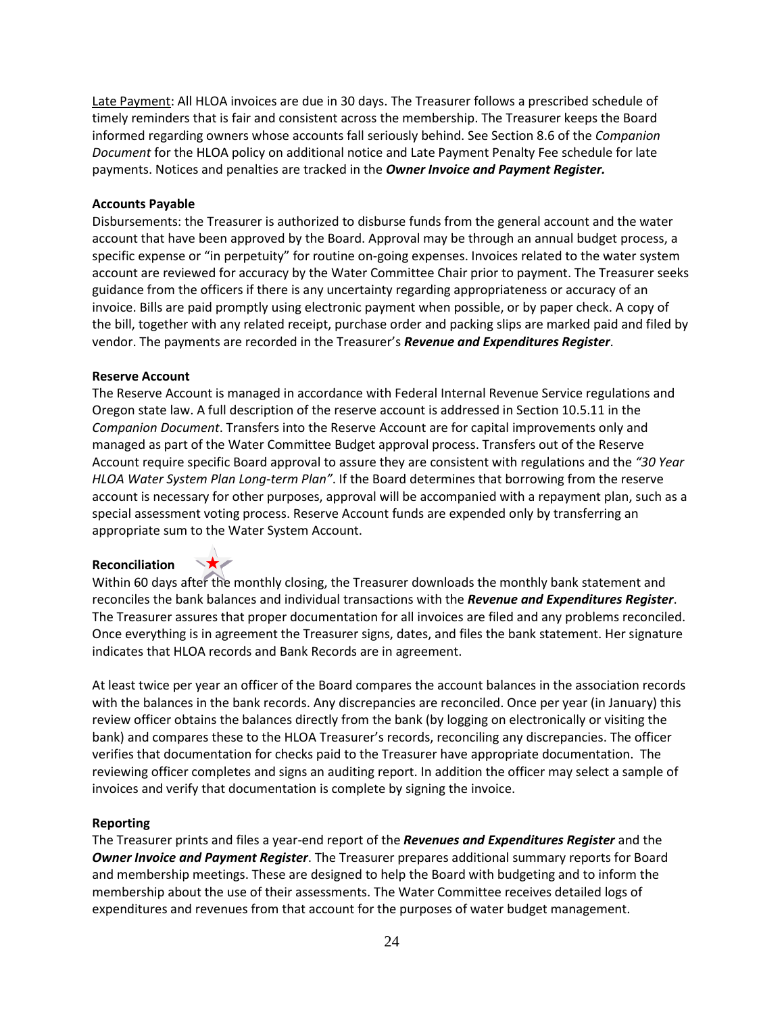Late Payment: All HLOA invoices are due in 30 days. The Treasurer follows a prescribed schedule of timely reminders that is fair and consistent across the membership. The Treasurer keeps the Board informed regarding owners whose accounts fall seriously behind. See Section 8.6 of the *Companion Document* for the HLOA policy on additional notice and Late Payment Penalty Fee schedule for late payments. Notices and penalties are tracked in the *Owner Invoice and Payment Register.*

#### **Accounts Payable**

Disbursements: the Treasurer is authorized to disburse funds from the general account and the water account that have been approved by the Board. Approval may be through an annual budget process, a specific expense or "in perpetuity" for routine on-going expenses. Invoices related to the water system account are reviewed for accuracy by the Water Committee Chair prior to payment. The Treasurer seeks guidance from the officers if there is any uncertainty regarding appropriateness or accuracy of an invoice. Bills are paid promptly using electronic payment when possible, or by paper check. A copy of the bill, together with any related receipt, purchase order and packing slips are marked paid and filed by vendor. The payments are recorded in the Treasurer's *Revenue and Expenditures Register*.

#### **Reserve Account**

The Reserve Account is managed in accordance with Federal Internal Revenue Service regulations and Oregon state law. A full description of the reserve account is addressed in Section 10.5.11 in the *Companion Document*. Transfers into the Reserve Account are for capital improvements only and managed as part of the Water Committee Budget approval process. Transfers out of the Reserve Account require specific Board approval to assure they are consistent with regulations and the *"30 Year HLOA Water System Plan Long-term Plan"*. If the Board determines that borrowing from the reserve account is necessary for other purposes, approval will be accompanied with a repayment plan, such as a special assessment voting process. Reserve Account funds are expended only by transferring an appropriate sum to the Water System Account.

#### **Reconciliation**



Within 60 days after the monthly closing, the Treasurer downloads the monthly bank statement and reconciles the bank balances and individual transactions with the *Revenue and Expenditures Register*. The Treasurer assures that proper documentation for all invoices are filed and any problems reconciled. Once everything is in agreement the Treasurer signs, dates, and files the bank statement. Her signature indicates that HLOA records and Bank Records are in agreement.

At least twice per year an officer of the Board compares the account balances in the association records with the balances in the bank records. Any discrepancies are reconciled. Once per year (in January) this review officer obtains the balances directly from the bank (by logging on electronically or visiting the bank) and compares these to the HLOA Treasurer's records, reconciling any discrepancies. The officer verifies that documentation for checks paid to the Treasurer have appropriate documentation. The reviewing officer completes and signs an auditing report. In addition the officer may select a sample of invoices and verify that documentation is complete by signing the invoice.

## **Reporting**

The Treasurer prints and files a year-end report of the *Revenues and Expenditures Register* and the *Owner Invoice and Payment Register*. The Treasurer prepares additional summary reports for Board and membership meetings. These are designed to help the Board with budgeting and to inform the membership about the use of their assessments. The Water Committee receives detailed logs of expenditures and revenues from that account for the purposes of water budget management.